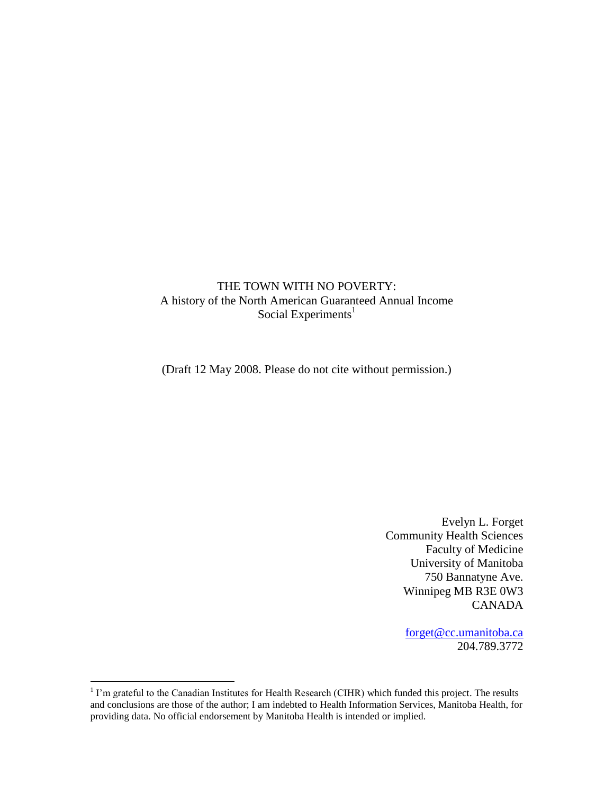## THE TOWN WITH NO POVERTY: A history of the North American Guaranteed Annual Income Social Experiments<sup>1</sup>

(Draft 12 May 2008. Please do not cite without permission.)

Evelyn L. Forget Community Health Sciences Faculty of Medicine University of Manitoba 750 Bannatyne Ave. Winnipeg MB R3E 0W3 CANADA

> [forget@cc.umanitoba.ca](mailto:forget@cc.umanitoba.ca) 204.789.3772

<sup>&</sup>lt;sup>1</sup> I'm grateful to the Canadian Institutes for Health Research (CIHR) which funded this project. The results and conclusions are those of the author; I am indebted to Health Information Services, Manitoba Health, for providing data. No official endorsement by Manitoba Health is intended or implied.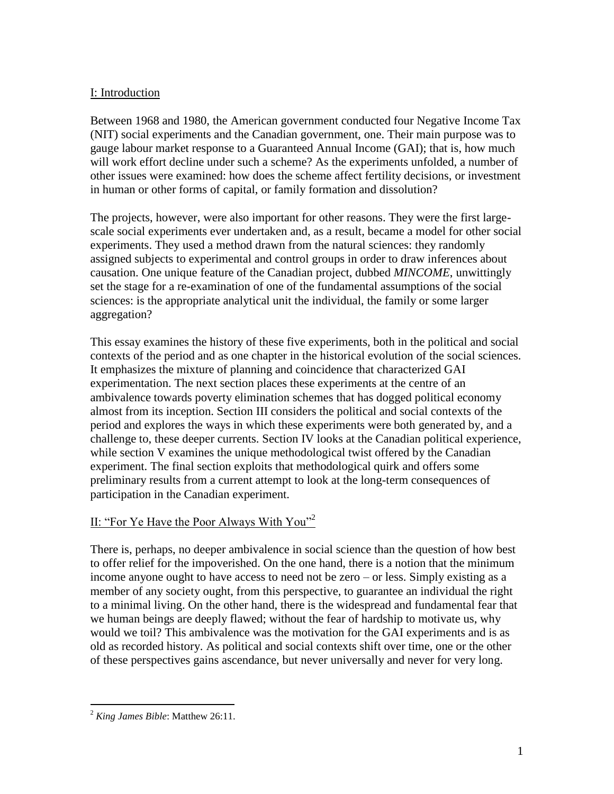# I: Introduction

Between 1968 and 1980, the American government conducted four Negative Income Tax (NIT) social experiments and the Canadian government, one. Their main purpose was to gauge labour market response to a Guaranteed Annual Income (GAI); that is, how much will work effort decline under such a scheme? As the experiments unfolded, a number of other issues were examined: how does the scheme affect fertility decisions, or investment in human or other forms of capital, or family formation and dissolution?

The projects, however, were also important for other reasons. They were the first largescale social experiments ever undertaken and, as a result, became a model for other social experiments. They used a method drawn from the natural sciences: they randomly assigned subjects to experimental and control groups in order to draw inferences about causation. One unique feature of the Canadian project, dubbed *MINCOME*, unwittingly set the stage for a re-examination of one of the fundamental assumptions of the social sciences: is the appropriate analytical unit the individual, the family or some larger aggregation?

This essay examines the history of these five experiments, both in the political and social contexts of the period and as one chapter in the historical evolution of the social sciences. It emphasizes the mixture of planning and coincidence that characterized GAI experimentation. The next section places these experiments at the centre of an ambivalence towards poverty elimination schemes that has dogged political economy almost from its inception. Section III considers the political and social contexts of the period and explores the ways in which these experiments were both generated by, and a challenge to, these deeper currents. Section IV looks at the Canadian political experience, while section V examines the unique methodological twist offered by the Canadian experiment. The final section exploits that methodological quirk and offers some preliminary results from a current attempt to look at the long-term consequences of participation in the Canadian experiment.

## II: "For Ye Have the Poor Always With You"<sup>2</sup>

There is, perhaps, no deeper ambivalence in social science than the question of how best to offer relief for the impoverished. On the one hand, there is a notion that the minimum income anyone ought to have access to need not be zero – or less. Simply existing as a member of any society ought, from this perspective, to guarantee an individual the right to a minimal living. On the other hand, there is the widespread and fundamental fear that we human beings are deeply flawed; without the fear of hardship to motivate us, why would we toil? This ambivalence was the motivation for the GAI experiments and is as old as recorded history. As political and social contexts shift over time, one or the other of these perspectives gains ascendance, but never universally and never for very long.

<sup>2</sup> *King James Bible*: Matthew 26:11.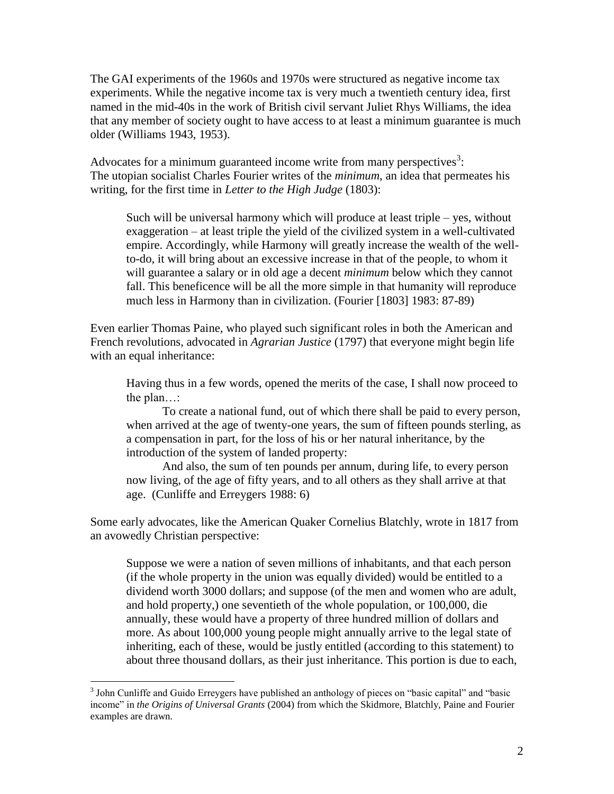The GAI experiments of the 1960s and 1970s were structured as negative income tax experiments. While the negative income tax is very much a twentieth century idea, first named in the mid-40s in the work of British civil servant Juliet Rhys Williams, the idea that any member of society ought to have access to at least a minimum guarantee is much older (Williams 1943, 1953).

Advocates for a minimum guaranteed income write from many perspectives<sup>3</sup>: The utopian socialist Charles Fourier writes of the *minimum*, an idea that permeates his writing, for the first time in *Letter to the High Judge* (1803):

Such will be universal harmony which will produce at least triple – yes, without exaggeration – at least triple the yield of the civilized system in a well-cultivated empire. Accordingly, while Harmony will greatly increase the wealth of the wellto-do, it will bring about an excessive increase in that of the people, to whom it will guarantee a salary or in old age a decent *minimum* below which they cannot fall. This beneficence will be all the more simple in that humanity will reproduce much less in Harmony than in civilization. (Fourier [1803] 1983: 87-89)

Even earlier Thomas Paine, who played such significant roles in both the American and French revolutions, advocated in *Agrarian Justice* (1797) that everyone might begin life with an equal inheritance:

Having thus in a few words, opened the merits of the case, I shall now proceed to the plan…:

To create a national fund, out of which there shall be paid to every person, when arrived at the age of twenty-one years, the sum of fifteen pounds sterling, as a compensation in part, for the loss of his or her natural inheritance, by the introduction of the system of landed property:

And also, the sum of ten pounds per annum, during life, to every person now living, of the age of fifty years, and to all others as they shall arrive at that age. (Cunliffe and Erreygers 1988: 6)

Some early advocates, like the American Quaker Cornelius Blatchly, wrote in 1817 from an avowedly Christian perspective:

Suppose we were a nation of seven millions of inhabitants, and that each person (if the whole property in the union was equally divided) would be entitled to a dividend worth 3000 dollars; and suppose (of the men and women who are adult, and hold property,) one seventieth of the whole population, or 100,000, die annually, these would have a property of three hundred million of dollars and more. As about 100,000 young people might annually arrive to the legal state of inheriting, each of these, would be justly entitled (according to this statement) to about three thousand dollars, as their just inheritance. This portion is due to each,

<sup>&</sup>lt;sup>3</sup> John Cunliffe and Guido Erreygers have published an anthology of pieces on "basic capital" and "basic income" in *the Origins of Universal Grants* (2004) from which the Skidmore, Blatchly, Paine and Fourier examples are drawn.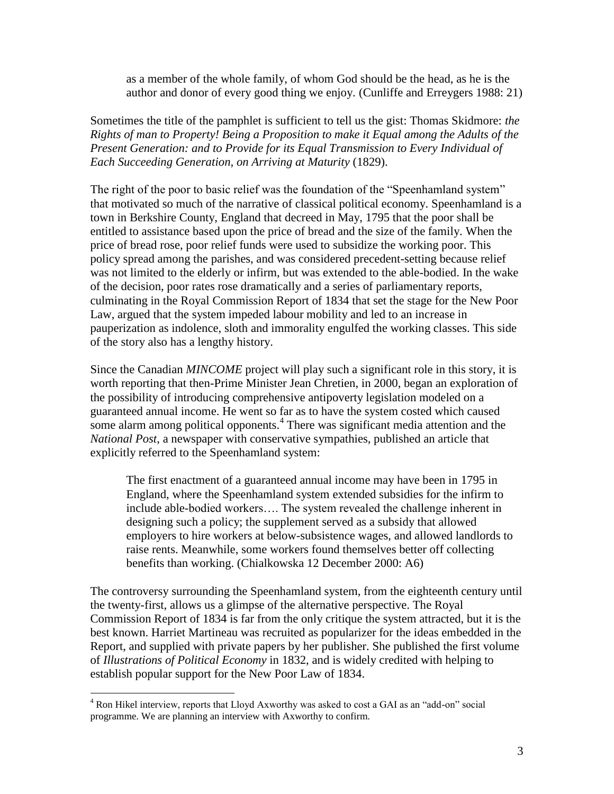as a member of the whole family, of whom God should be the head, as he is the author and donor of every good thing we enjoy. (Cunliffe and Erreygers 1988: 21)

Sometimes the title of the pamphlet is sufficient to tell us the gist: Thomas Skidmore: *the Rights of man to Property! Being a Proposition to make it Equal among the Adults of the Present Generation: and to Provide for its Equal Transmission to Every Individual of Each Succeeding Generation, on Arriving at Maturity* (1829).

The right of the poor to basic relief was the foundation of the "Speenhamland system" that motivated so much of the narrative of classical political economy. Speenhamland is a town in Berkshire County, England that decreed in May, 1795 that the poor shall be entitled to assistance based upon the price of bread and the size of the family. When the price of bread rose, poor relief funds were used to subsidize the working poor. This policy spread among the parishes, and was considered precedent-setting because relief was not limited to the elderly or infirm, but was extended to the able-bodied. In the wake of the decision, poor rates rose dramatically and a series of parliamentary reports, culminating in the Royal Commission Report of 1834 that set the stage for the New Poor Law, argued that the system impeded labour mobility and led to an increase in pauperization as indolence, sloth and immorality engulfed the working classes. This side of the story also has a lengthy history.

Since the Canadian *MINCOME* project will play such a significant role in this story, it is worth reporting that then-Prime Minister Jean Chretien, in 2000, began an exploration of the possibility of introducing comprehensive antipoverty legislation modeled on a guaranteed annual income. He went so far as to have the system costed which caused some alarm among political opponents.<sup>4</sup> There was significant media attention and the *National Post*, a newspaper with conservative sympathies, published an article that explicitly referred to the Speenhamland system:

The first enactment of a guaranteed annual income may have been in 1795 in England, where the Speenhamland system extended subsidies for the infirm to include able-bodied workers…. The system revealed the challenge inherent in designing such a policy; the supplement served as a subsidy that allowed employers to hire workers at below-subsistence wages, and allowed landlords to raise rents. Meanwhile, some workers found themselves better off collecting benefits than working. (Chialkowska 12 December 2000: A6)

The controversy surrounding the Speenhamland system, from the eighteenth century until the twenty-first, allows us a glimpse of the alternative perspective. The Royal Commission Report of 1834 is far from the only critique the system attracted, but it is the best known. Harriet Martineau was recruited as popularizer for the ideas embedded in the Report, and supplied with private papers by her publisher. She published the first volume of *Illustrations of Political Economy* in 1832, and is widely credited with helping to establish popular support for the New Poor Law of 1834.

<sup>4</sup> Ron Hikel interview, reports that Lloyd Axworthy was asked to cost a GAI as an "add-on" social programme. We are planning an interview with Axworthy to confirm.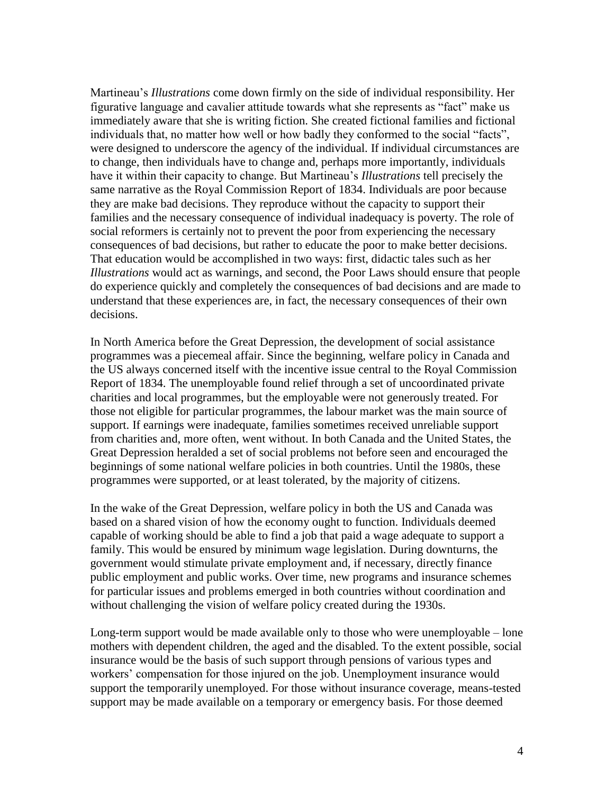Martineau"s *Illustrations* come down firmly on the side of individual responsibility. Her figurative language and cavalier attitude towards what she represents as "fact" make us immediately aware that she is writing fiction. She created fictional families and fictional individuals that, no matter how well or how badly they conformed to the social "facts", were designed to underscore the agency of the individual. If individual circumstances are to change, then individuals have to change and, perhaps more importantly, individuals have it within their capacity to change. But Martineau"s *Illustrations* tell precisely the same narrative as the Royal Commission Report of 1834. Individuals are poor because they are make bad decisions. They reproduce without the capacity to support their families and the necessary consequence of individual inadequacy is poverty. The role of social reformers is certainly not to prevent the poor from experiencing the necessary consequences of bad decisions, but rather to educate the poor to make better decisions. That education would be accomplished in two ways: first, didactic tales such as her *Illustrations* would act as warnings, and second, the Poor Laws should ensure that people do experience quickly and completely the consequences of bad decisions and are made to understand that these experiences are, in fact, the necessary consequences of their own decisions.

In North America before the Great Depression, the development of social assistance programmes was a piecemeal affair. Since the beginning, welfare policy in Canada and the US always concerned itself with the incentive issue central to the Royal Commission Report of 1834. The unemployable found relief through a set of uncoordinated private charities and local programmes, but the employable were not generously treated. For those not eligible for particular programmes, the labour market was the main source of support. If earnings were inadequate, families sometimes received unreliable support from charities and, more often, went without. In both Canada and the United States, the Great Depression heralded a set of social problems not before seen and encouraged the beginnings of some national welfare policies in both countries. Until the 1980s, these programmes were supported, or at least tolerated, by the majority of citizens.

In the wake of the Great Depression, welfare policy in both the US and Canada was based on a shared vision of how the economy ought to function. Individuals deemed capable of working should be able to find a job that paid a wage adequate to support a family. This would be ensured by minimum wage legislation. During downturns, the government would stimulate private employment and, if necessary, directly finance public employment and public works. Over time, new programs and insurance schemes for particular issues and problems emerged in both countries without coordination and without challenging the vision of welfare policy created during the 1930s.

Long-term support would be made available only to those who were unemployable – lone mothers with dependent children, the aged and the disabled. To the extent possible, social insurance would be the basis of such support through pensions of various types and workers' compensation for those injured on the job. Unemployment insurance would support the temporarily unemployed. For those without insurance coverage, means-tested support may be made available on a temporary or emergency basis. For those deemed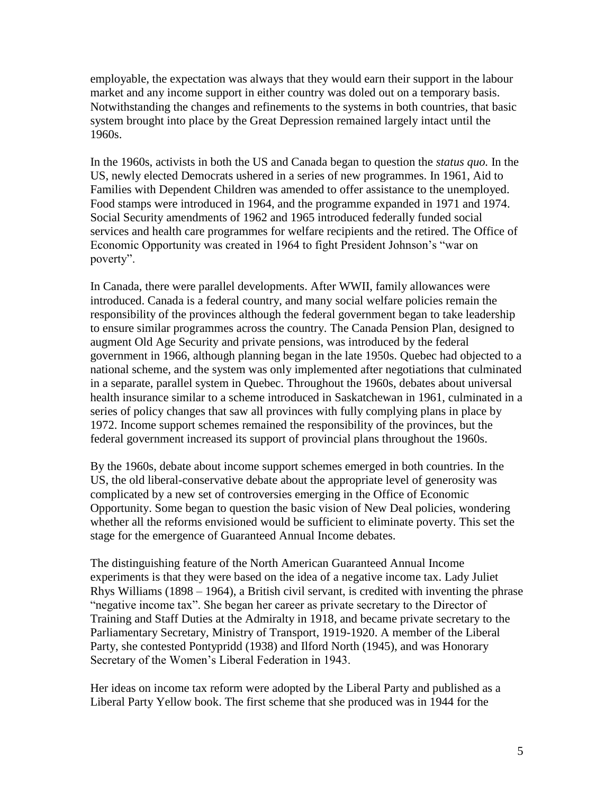employable, the expectation was always that they would earn their support in the labour market and any income support in either country was doled out on a temporary basis. Notwithstanding the changes and refinements to the systems in both countries, that basic system brought into place by the Great Depression remained largely intact until the 1960s.

In the 1960s, activists in both the US and Canada began to question the *status quo.* In the US, newly elected Democrats ushered in a series of new programmes. In 1961, Aid to Families with Dependent Children was amended to offer assistance to the unemployed. Food stamps were introduced in 1964, and the programme expanded in 1971 and 1974. Social Security amendments of 1962 and 1965 introduced federally funded social services and health care programmes for welfare recipients and the retired. The Office of Economic Opportunity was created in 1964 to fight President Johnson"s "war on poverty".

In Canada, there were parallel developments. After WWII, family allowances were introduced. Canada is a federal country, and many social welfare policies remain the responsibility of the provinces although the federal government began to take leadership to ensure similar programmes across the country. The Canada Pension Plan, designed to augment Old Age Security and private pensions, was introduced by the federal government in 1966, although planning began in the late 1950s. Quebec had objected to a national scheme, and the system was only implemented after negotiations that culminated in a separate, parallel system in Quebec. Throughout the 1960s, debates about universal health insurance similar to a scheme introduced in Saskatchewan in 1961, culminated in a series of policy changes that saw all provinces with fully complying plans in place by 1972. Income support schemes remained the responsibility of the provinces, but the federal government increased its support of provincial plans throughout the 1960s.

By the 1960s, debate about income support schemes emerged in both countries. In the US, the old liberal-conservative debate about the appropriate level of generosity was complicated by a new set of controversies emerging in the Office of Economic Opportunity. Some began to question the basic vision of New Deal policies, wondering whether all the reforms envisioned would be sufficient to eliminate poverty. This set the stage for the emergence of Guaranteed Annual Income debates.

The distinguishing feature of the North American Guaranteed Annual Income experiments is that they were based on the idea of a negative income tax. Lady Juliet Rhys Williams (1898 – 1964), a British civil servant, is credited with inventing the phrase "negative income tax". She began her career as private secretary to the Director of Training and Staff Duties at the Admiralty in 1918, and became private secretary to the Parliamentary Secretary, Ministry of Transport, 1919-1920. A member of the Liberal Party, she contested Pontypridd (1938) and Ilford North (1945), and was Honorary Secretary of the Women"s Liberal Federation in 1943.

Her ideas on income tax reform were adopted by the Liberal Party and published as a Liberal Party Yellow book. The first scheme that she produced was in 1944 for the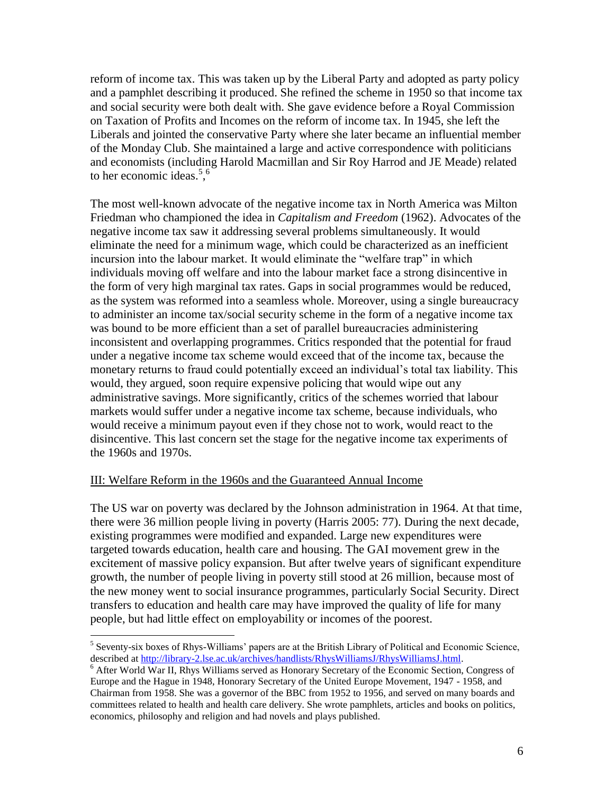reform of income tax. This was taken up by the Liberal Party and adopted as party policy and a pamphlet describing it produced. She refined the scheme in 1950 so that income tax and social security were both dealt with. She gave evidence before a Royal Commission on Taxation of Profits and Incomes on the reform of income tax. In 1945, she left the Liberals and jointed the conservative Party where she later became an influential member of the Monday Club. She maintained a large and active correspondence with politicians and economists (including Harold Macmillan and Sir Roy Harrod and JE Meade) related to her economic ideas.<sup>5,6</sup>

The most well-known advocate of the negative income tax in North America was Milton Friedman who championed the idea in *Capitalism and Freedom* (1962). Advocates of the negative income tax saw it addressing several problems simultaneously. It would eliminate the need for a minimum wage, which could be characterized as an inefficient incursion into the labour market. It would eliminate the "welfare trap" in which individuals moving off welfare and into the labour market face a strong disincentive in the form of very high marginal tax rates. Gaps in social programmes would be reduced, as the system was reformed into a seamless whole. Moreover, using a single bureaucracy to administer an income tax/social security scheme in the form of a negative income tax was bound to be more efficient than a set of parallel bureaucracies administering inconsistent and overlapping programmes. Critics responded that the potential for fraud under a negative income tax scheme would exceed that of the income tax, because the monetary returns to fraud could potentially exceed an individual"s total tax liability. This would, they argued, soon require expensive policing that would wipe out any administrative savings. More significantly, critics of the schemes worried that labour markets would suffer under a negative income tax scheme, because individuals, who would receive a minimum payout even if they chose not to work, would react to the disincentive. This last concern set the stage for the negative income tax experiments of the 1960s and 1970s.

#### III: Welfare Reform in the 1960s and the Guaranteed Annual Income

The US war on poverty was declared by the Johnson administration in 1964. At that time, there were 36 million people living in poverty (Harris 2005: 77). During the next decade, existing programmes were modified and expanded. Large new expenditures were targeted towards education, health care and housing. The GAI movement grew in the excitement of massive policy expansion. But after twelve years of significant expenditure growth, the number of people living in poverty still stood at 26 million, because most of the new money went to social insurance programmes, particularly Social Security. Direct transfers to education and health care may have improved the quality of life for many people, but had little effect on employability or incomes of the poorest.

 $\overline{a}$  $<sup>5</sup>$  Seventy-six boxes of Rhys-Williams' papers are at the British Library of Political and Economic Science,</sup> described a[t http://library-2.lse.ac.uk/archives/handlists/RhysWilliamsJ/RhysWilliamsJ.html.](http://library-2.lse.ac.uk/archives/handlists/RhysWilliamsJ/RhysWilliamsJ.html)

<sup>6</sup> After World War II, Rhys Williams served as Honorary Secretary of the Economic Section, Congress of Europe and the Hague in 1948, Honorary Secretary of the United Europe Movement, 1947 - 1958, and Chairman from 1958. She was a governor of the BBC from 1952 to 1956, and served on many boards and committees related to health and health care delivery. She wrote pamphlets, articles and books on politics, economics, philosophy and religion and had novels and plays published.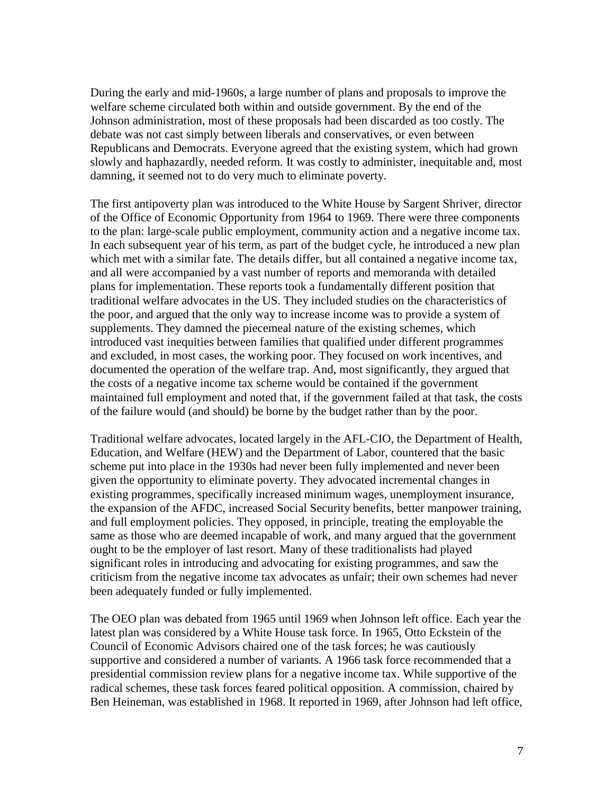During the early and mid-1960s, a large number of plans and proposals to improve the welfare scheme circulated both within and outside government. By the end of the Johnson administration, most of these proposals had been discarded as too costly. The debate was not cast simply between liberals and conservatives, or even between Republicans and Democrats. Everyone agreed that the existing system, which had grown slowly and haphazardly, needed reform. It was costly to administer, inequitable and, most damning, it seemed not to do very much to eliminate poverty.

The first antipoverty plan was introduced to the White House by Sargent Shriver, director of the Office of Economic Opportunity from 1964 to 1969. There were three components to the plan: large-scale public employment, community action and a negative income tax. In each subsequent year of his term, as part of the budget cycle, he introduced a new plan which met with a similar fate. The details differ, but all contained a negative income tax, and all were accompanied by a vast number of reports and memoranda with detailed plans for implementation. These reports took a fundamentally different position that traditional welfare advocates in the US. They included studies on the characteristics of the poor, and argued that the only way to increase income was to provide a system of supplements. They damned the piecemeal nature of the existing schemes, which introduced vast inequities between families that qualified under different programmes and excluded, in most cases, the working poor. They focused on work incentives, and documented the operation of the welfare trap. And, most significantly, they argued that the costs of a negative income tax scheme would be contained if the government maintained full employment and noted that, if the government failed at that task, the costs of the failure would (and should) be borne by the budget rather than by the poor.

Traditional welfare advocates, located largely in the AFL-CIO, the Department of Health, Education, and Welfare (HEW) and the Department of Labor, countered that the basic scheme put into place in the 1930s had never been fully implemented and never been given the opportunity to eliminate poverty. They advocated incremental changes in existing programmes, specifically increased minimum wages, unemployment insurance, the expansion of the AFDC, increased Social Security benefits, better manpower training, and full employment policies. They opposed, in principle, treating the employable the same as those who are deemed incapable of work, and many argued that the government ought to be the employer of last resort. Many of these traditionalists had played significant roles in introducing and advocating for existing programmes, and saw the criticism from the negative income tax advocates as unfair; their own schemes had never been adequately funded or fully implemented.

The OEO plan was debated from 1965 until 1969 when Johnson left office. Each year the latest plan was considered by a White House task force. In 1965, Otto Eckstein of the Council of Economic Advisors chaired one of the task forces; he was cautiously supportive and considered a number of variants. A 1966 task force recommended that a presidential commission review plans for a negative income tax. While supportive of the radical schemes, these task forces feared political opposition. A commission, chaired by Ben Heineman, was established in 1968. It reported in 1969, after Johnson had left office,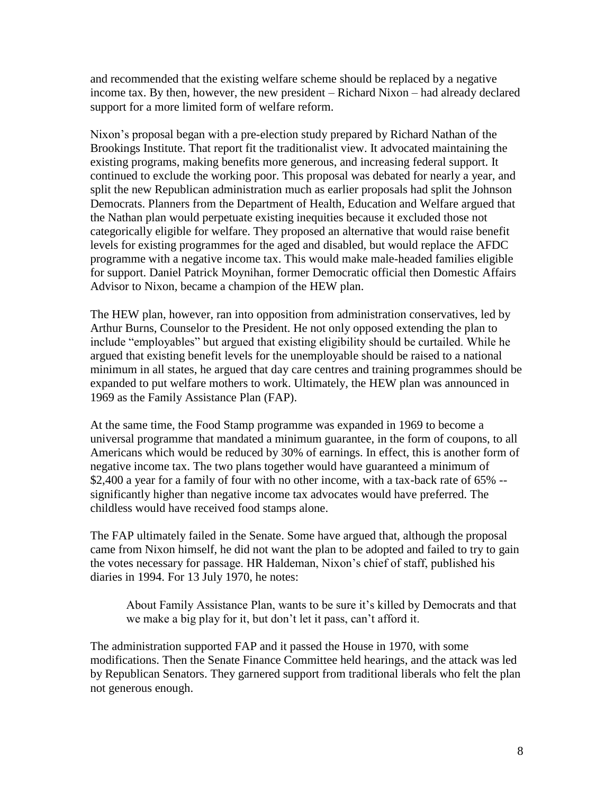and recommended that the existing welfare scheme should be replaced by a negative income tax. By then, however, the new president – Richard Nixon – had already declared support for a more limited form of welfare reform.

Nixon"s proposal began with a pre-election study prepared by Richard Nathan of the Brookings Institute. That report fit the traditionalist view. It advocated maintaining the existing programs, making benefits more generous, and increasing federal support. It continued to exclude the working poor. This proposal was debated for nearly a year, and split the new Republican administration much as earlier proposals had split the Johnson Democrats. Planners from the Department of Health, Education and Welfare argued that the Nathan plan would perpetuate existing inequities because it excluded those not categorically eligible for welfare. They proposed an alternative that would raise benefit levels for existing programmes for the aged and disabled, but would replace the AFDC programme with a negative income tax. This would make male-headed families eligible for support. Daniel Patrick Moynihan, former Democratic official then Domestic Affairs Advisor to Nixon, became a champion of the HEW plan.

The HEW plan, however, ran into opposition from administration conservatives, led by Arthur Burns, Counselor to the President. He not only opposed extending the plan to include "employables" but argued that existing eligibility should be curtailed. While he argued that existing benefit levels for the unemployable should be raised to a national minimum in all states, he argued that day care centres and training programmes should be expanded to put welfare mothers to work. Ultimately, the HEW plan was announced in 1969 as the Family Assistance Plan (FAP).

At the same time, the Food Stamp programme was expanded in 1969 to become a universal programme that mandated a minimum guarantee, in the form of coupons, to all Americans which would be reduced by 30% of earnings. In effect, this is another form of negative income tax. The two plans together would have guaranteed a minimum of \$2,400 a year for a family of four with no other income, with a tax-back rate of 65% - significantly higher than negative income tax advocates would have preferred. The childless would have received food stamps alone.

The FAP ultimately failed in the Senate. Some have argued that, although the proposal came from Nixon himself, he did not want the plan to be adopted and failed to try to gain the votes necessary for passage. HR Haldeman, Nixon"s chief of staff, published his diaries in 1994. For 13 July 1970, he notes:

About Family Assistance Plan, wants to be sure it"s killed by Democrats and that we make a big play for it, but don"t let it pass, can"t afford it.

The administration supported FAP and it passed the House in 1970, with some modifications. Then the Senate Finance Committee held hearings, and the attack was led by Republican Senators. They garnered support from traditional liberals who felt the plan not generous enough.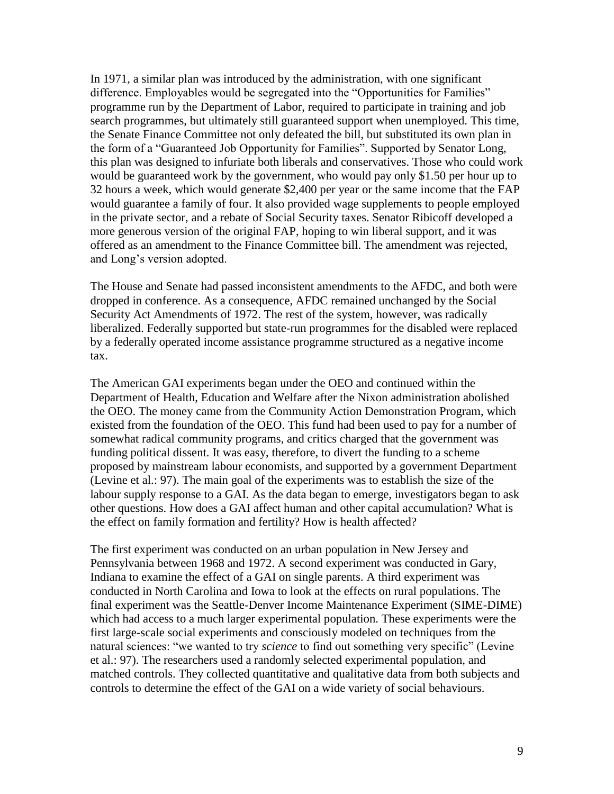In 1971, a similar plan was introduced by the administration, with one significant difference. Employables would be segregated into the "Opportunities for Families" programme run by the Department of Labor, required to participate in training and job search programmes, but ultimately still guaranteed support when unemployed. This time, the Senate Finance Committee not only defeated the bill, but substituted its own plan in the form of a "Guaranteed Job Opportunity for Families". Supported by Senator Long, this plan was designed to infuriate both liberals and conservatives. Those who could work would be guaranteed work by the government, who would pay only \$1.50 per hour up to 32 hours a week, which would generate \$2,400 per year or the same income that the FAP would guarantee a family of four. It also provided wage supplements to people employed in the private sector, and a rebate of Social Security taxes. Senator Ribicoff developed a more generous version of the original FAP, hoping to win liberal support, and it was offered as an amendment to the Finance Committee bill. The amendment was rejected, and Long"s version adopted.

The House and Senate had passed inconsistent amendments to the AFDC, and both were dropped in conference. As a consequence, AFDC remained unchanged by the Social Security Act Amendments of 1972. The rest of the system, however, was radically liberalized. Federally supported but state-run programmes for the disabled were replaced by a federally operated income assistance programme structured as a negative income tax.

The American GAI experiments began under the OEO and continued within the Department of Health, Education and Welfare after the Nixon administration abolished the OEO. The money came from the Community Action Demonstration Program, which existed from the foundation of the OEO. This fund had been used to pay for a number of somewhat radical community programs, and critics charged that the government was funding political dissent. It was easy, therefore, to divert the funding to a scheme proposed by mainstream labour economists, and supported by a government Department (Levine et al.: 97). The main goal of the experiments was to establish the size of the labour supply response to a GAI. As the data began to emerge, investigators began to ask other questions. How does a GAI affect human and other capital accumulation? What is the effect on family formation and fertility? How is health affected?

The first experiment was conducted on an urban population in New Jersey and Pennsylvania between 1968 and 1972. A second experiment was conducted in Gary, Indiana to examine the effect of a GAI on single parents. A third experiment was conducted in North Carolina and Iowa to look at the effects on rural populations. The final experiment was the Seattle-Denver Income Maintenance Experiment (SIME-DIME) which had access to a much larger experimental population. These experiments were the first large-scale social experiments and consciously modeled on techniques from the natural sciences: "we wanted to try *science* to find out something very specific" (Levine et al.: 97). The researchers used a randomly selected experimental population, and matched controls. They collected quantitative and qualitative data from both subjects and controls to determine the effect of the GAI on a wide variety of social behaviours.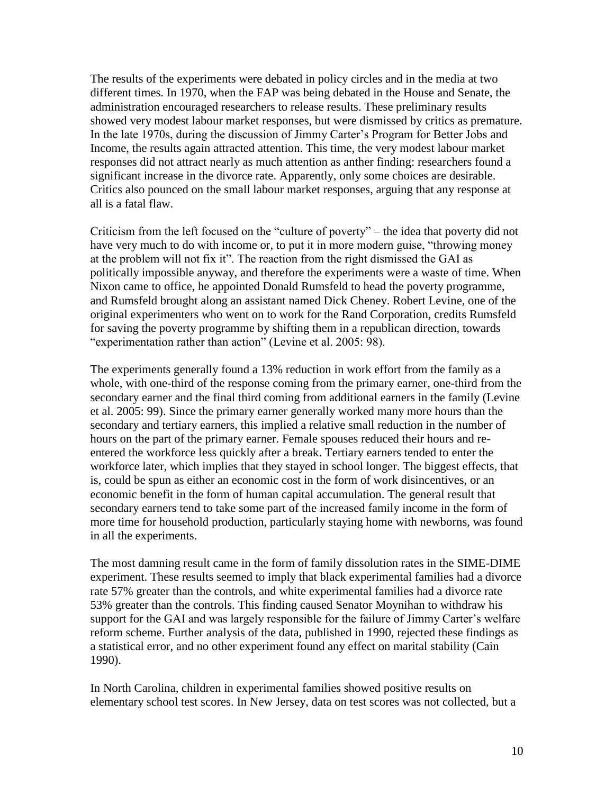The results of the experiments were debated in policy circles and in the media at two different times. In 1970, when the FAP was being debated in the House and Senate, the administration encouraged researchers to release results. These preliminary results showed very modest labour market responses, but were dismissed by critics as premature. In the late 1970s, during the discussion of Jimmy Carter's Program for Better Jobs and Income, the results again attracted attention. This time, the very modest labour market responses did not attract nearly as much attention as anther finding: researchers found a significant increase in the divorce rate. Apparently, only some choices are desirable. Critics also pounced on the small labour market responses, arguing that any response at all is a fatal flaw.

Criticism from the left focused on the "culture of poverty" – the idea that poverty did not have very much to do with income or, to put it in more modern guise, "throwing money at the problem will not fix it". The reaction from the right dismissed the GAI as politically impossible anyway, and therefore the experiments were a waste of time. When Nixon came to office, he appointed Donald Rumsfeld to head the poverty programme, and Rumsfeld brought along an assistant named Dick Cheney. Robert Levine, one of the original experimenters who went on to work for the Rand Corporation, credits Rumsfeld for saving the poverty programme by shifting them in a republican direction, towards "experimentation rather than action" (Levine et al. 2005: 98).

The experiments generally found a 13% reduction in work effort from the family as a whole, with one-third of the response coming from the primary earner, one-third from the secondary earner and the final third coming from additional earners in the family (Levine et al. 2005: 99). Since the primary earner generally worked many more hours than the secondary and tertiary earners, this implied a relative small reduction in the number of hours on the part of the primary earner. Female spouses reduced their hours and reentered the workforce less quickly after a break. Tertiary earners tended to enter the workforce later, which implies that they stayed in school longer. The biggest effects, that is, could be spun as either an economic cost in the form of work disincentives, or an economic benefit in the form of human capital accumulation. The general result that secondary earners tend to take some part of the increased family income in the form of more time for household production, particularly staying home with newborns, was found in all the experiments.

The most damning result came in the form of family dissolution rates in the SIME-DIME experiment. These results seemed to imply that black experimental families had a divorce rate 57% greater than the controls, and white experimental families had a divorce rate 53% greater than the controls. This finding caused Senator Moynihan to withdraw his support for the GAI and was largely responsible for the failure of Jimmy Carter's welfare reform scheme. Further analysis of the data, published in 1990, rejected these findings as a statistical error, and no other experiment found any effect on marital stability (Cain 1990).

In North Carolina, children in experimental families showed positive results on elementary school test scores. In New Jersey, data on test scores was not collected, but a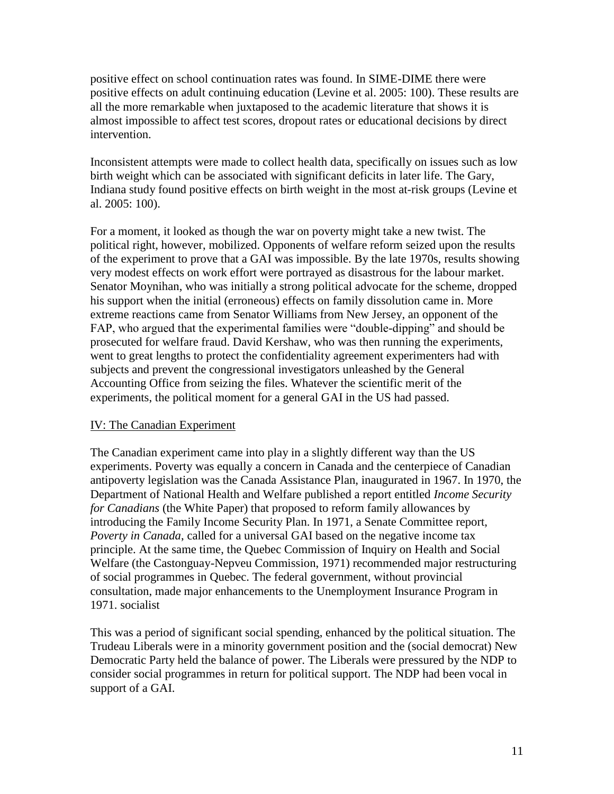positive effect on school continuation rates was found. In SIME-DIME there were positive effects on adult continuing education (Levine et al. 2005: 100). These results are all the more remarkable when juxtaposed to the academic literature that shows it is almost impossible to affect test scores, dropout rates or educational decisions by direct intervention.

Inconsistent attempts were made to collect health data, specifically on issues such as low birth weight which can be associated with significant deficits in later life. The Gary, Indiana study found positive effects on birth weight in the most at-risk groups (Levine et al. 2005: 100).

For a moment, it looked as though the war on poverty might take a new twist. The political right, however, mobilized. Opponents of welfare reform seized upon the results of the experiment to prove that a GAI was impossible. By the late 1970s, results showing very modest effects on work effort were portrayed as disastrous for the labour market. Senator Moynihan, who was initially a strong political advocate for the scheme, dropped his support when the initial (erroneous) effects on family dissolution came in. More extreme reactions came from Senator Williams from New Jersey, an opponent of the FAP, who argued that the experimental families were "double-dipping" and should be prosecuted for welfare fraud. David Kershaw, who was then running the experiments, went to great lengths to protect the confidentiality agreement experimenters had with subjects and prevent the congressional investigators unleashed by the General Accounting Office from seizing the files. Whatever the scientific merit of the experiments, the political moment for a general GAI in the US had passed.

## IV: The Canadian Experiment

The Canadian experiment came into play in a slightly different way than the US experiments. Poverty was equally a concern in Canada and the centerpiece of Canadian antipoverty legislation was the Canada Assistance Plan, inaugurated in 1967. In 1970, the Department of National Health and Welfare published a report entitled *Income Security for Canadians* (the White Paper) that proposed to reform family allowances by introducing the Family Income Security Plan. In 1971, a Senate Committee report, *Poverty in Canada*, called for a universal GAI based on the negative income tax principle. At the same time, the Quebec Commission of Inquiry on Health and Social Welfare (the Castonguay-Nepveu Commission, 1971) recommended major restructuring of social programmes in Quebec. The federal government, without provincial consultation, made major enhancements to the Unemployment Insurance Program in 1971. socialist

This was a period of significant social spending, enhanced by the political situation. The Trudeau Liberals were in a minority government position and the (social democrat) New Democratic Party held the balance of power. The Liberals were pressured by the NDP to consider social programmes in return for political support. The NDP had been vocal in support of a GAI.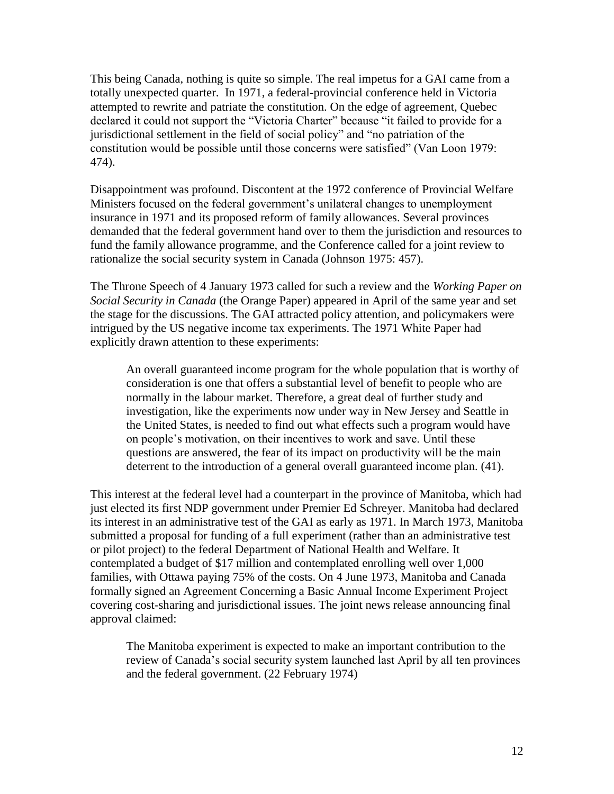This being Canada, nothing is quite so simple. The real impetus for a GAI came from a totally unexpected quarter. In 1971, a federal-provincial conference held in Victoria attempted to rewrite and patriate the constitution. On the edge of agreement, Quebec declared it could not support the "Victoria Charter" because "it failed to provide for a jurisdictional settlement in the field of social policy" and "no patriation of the constitution would be possible until those concerns were satisfied" (Van Loon 1979: 474).

Disappointment was profound. Discontent at the 1972 conference of Provincial Welfare Ministers focused on the federal government"s unilateral changes to unemployment insurance in 1971 and its proposed reform of family allowances. Several provinces demanded that the federal government hand over to them the jurisdiction and resources to fund the family allowance programme, and the Conference called for a joint review to rationalize the social security system in Canada (Johnson 1975: 457).

The Throne Speech of 4 January 1973 called for such a review and the *Working Paper on Social Security in Canada* (the Orange Paper) appeared in April of the same year and set the stage for the discussions. The GAI attracted policy attention, and policymakers were intrigued by the US negative income tax experiments. The 1971 White Paper had explicitly drawn attention to these experiments:

An overall guaranteed income program for the whole population that is worthy of consideration is one that offers a substantial level of benefit to people who are normally in the labour market. Therefore, a great deal of further study and investigation, like the experiments now under way in New Jersey and Seattle in the United States, is needed to find out what effects such a program would have on people"s motivation, on their incentives to work and save. Until these questions are answered, the fear of its impact on productivity will be the main deterrent to the introduction of a general overall guaranteed income plan. (41).

This interest at the federal level had a counterpart in the province of Manitoba, which had just elected its first NDP government under Premier Ed Schreyer. Manitoba had declared its interest in an administrative test of the GAI as early as 1971. In March 1973, Manitoba submitted a proposal for funding of a full experiment (rather than an administrative test or pilot project) to the federal Department of National Health and Welfare. It contemplated a budget of \$17 million and contemplated enrolling well over 1,000 families, with Ottawa paying 75% of the costs. On 4 June 1973, Manitoba and Canada formally signed an Agreement Concerning a Basic Annual Income Experiment Project covering cost-sharing and jurisdictional issues. The joint news release announcing final approval claimed:

The Manitoba experiment is expected to make an important contribution to the review of Canada"s social security system launched last April by all ten provinces and the federal government. (22 February 1974)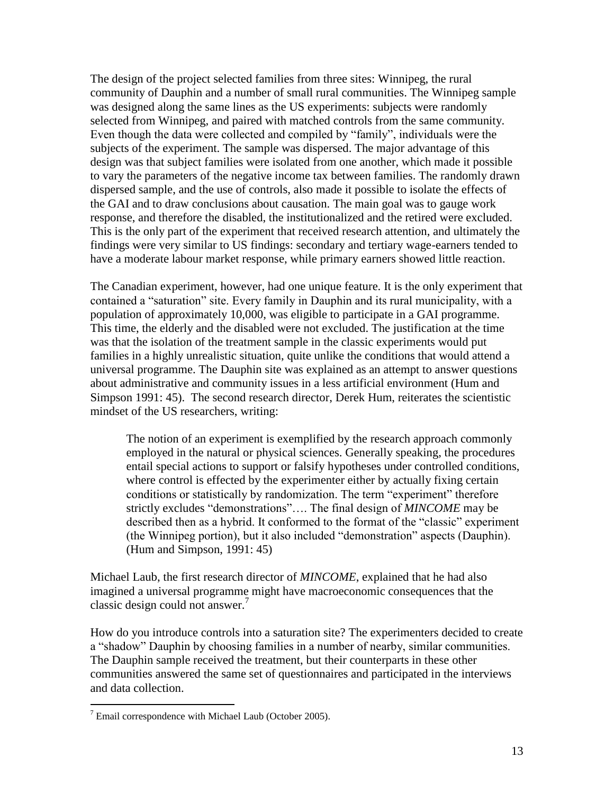The design of the project selected families from three sites: Winnipeg, the rural community of Dauphin and a number of small rural communities. The Winnipeg sample was designed along the same lines as the US experiments: subjects were randomly selected from Winnipeg, and paired with matched controls from the same community. Even though the data were collected and compiled by "family", individuals were the subjects of the experiment. The sample was dispersed. The major advantage of this design was that subject families were isolated from one another, which made it possible to vary the parameters of the negative income tax between families. The randomly drawn dispersed sample, and the use of controls, also made it possible to isolate the effects of the GAI and to draw conclusions about causation. The main goal was to gauge work response, and therefore the disabled, the institutionalized and the retired were excluded. This is the only part of the experiment that received research attention, and ultimately the findings were very similar to US findings: secondary and tertiary wage-earners tended to have a moderate labour market response, while primary earners showed little reaction.

The Canadian experiment, however, had one unique feature. It is the only experiment that contained a "saturation" site. Every family in Dauphin and its rural municipality, with a population of approximately 10,000, was eligible to participate in a GAI programme. This time, the elderly and the disabled were not excluded. The justification at the time was that the isolation of the treatment sample in the classic experiments would put families in a highly unrealistic situation, quite unlike the conditions that would attend a universal programme. The Dauphin site was explained as an attempt to answer questions about administrative and community issues in a less artificial environment (Hum and Simpson 1991: 45). The second research director, Derek Hum, reiterates the scientistic mindset of the US researchers, writing:

The notion of an experiment is exemplified by the research approach commonly employed in the natural or physical sciences. Generally speaking, the procedures entail special actions to support or falsify hypotheses under controlled conditions, where control is effected by the experimenter either by actually fixing certain conditions or statistically by randomization. The term "experiment" therefore strictly excludes "demonstrations"…. The final design of *MINCOME* may be described then as a hybrid. It conformed to the format of the "classic" experiment (the Winnipeg portion), but it also included "demonstration" aspects (Dauphin). (Hum and Simpson, 1991: 45)

Michael Laub, the first research director of *MINCOME*, explained that he had also imagined a universal programme might have macroeconomic consequences that the classic design could not answer. $7$ 

How do you introduce controls into a saturation site? The experimenters decided to create a "shadow" Dauphin by choosing families in a number of nearby, similar communities. The Dauphin sample received the treatment, but their counterparts in these other communities answered the same set of questionnaires and participated in the interviews and data collection.

 $7$  Email correspondence with Michael Laub (October 2005).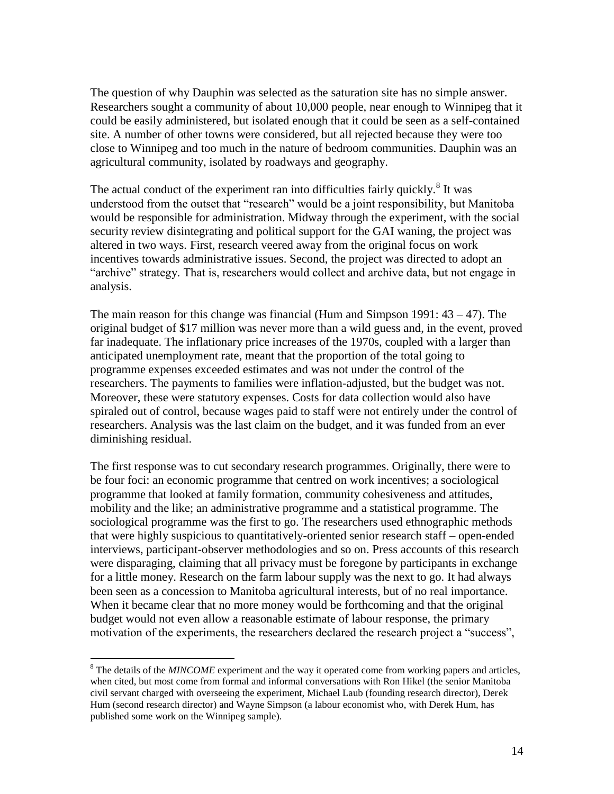The question of why Dauphin was selected as the saturation site has no simple answer. Researchers sought a community of about 10,000 people, near enough to Winnipeg that it could be easily administered, but isolated enough that it could be seen as a self-contained site. A number of other towns were considered, but all rejected because they were too close to Winnipeg and too much in the nature of bedroom communities. Dauphin was an agricultural community, isolated by roadways and geography.

The actual conduct of the experiment ran into difficulties fairly quickly.<sup>8</sup> It was understood from the outset that "research" would be a joint responsibility, but Manitoba would be responsible for administration. Midway through the experiment, with the social security review disintegrating and political support for the GAI waning, the project was altered in two ways. First, research veered away from the original focus on work incentives towards administrative issues. Second, the project was directed to adopt an "archive" strategy. That is, researchers would collect and archive data, but not engage in analysis.

The main reason for this change was financial (Hum and Simpson 1991:  $43 - 47$ ). The original budget of \$17 million was never more than a wild guess and, in the event, proved far inadequate. The inflationary price increases of the 1970s, coupled with a larger than anticipated unemployment rate, meant that the proportion of the total going to programme expenses exceeded estimates and was not under the control of the researchers. The payments to families were inflation-adjusted, but the budget was not. Moreover, these were statutory expenses. Costs for data collection would also have spiraled out of control, because wages paid to staff were not entirely under the control of researchers. Analysis was the last claim on the budget, and it was funded from an ever diminishing residual.

The first response was to cut secondary research programmes. Originally, there were to be four foci: an economic programme that centred on work incentives; a sociological programme that looked at family formation, community cohesiveness and attitudes, mobility and the like; an administrative programme and a statistical programme. The sociological programme was the first to go. The researchers used ethnographic methods that were highly suspicious to quantitatively-oriented senior research staff – open-ended interviews, participant-observer methodologies and so on. Press accounts of this research were disparaging, claiming that all privacy must be foregone by participants in exchange for a little money. Research on the farm labour supply was the next to go. It had always been seen as a concession to Manitoba agricultural interests, but of no real importance. When it became clear that no more money would be forthcoming and that the original budget would not even allow a reasonable estimate of labour response, the primary motivation of the experiments, the researchers declared the research project a "success",

<sup>&</sup>lt;sup>8</sup> The details of the *MINCOME* experiment and the way it operated come from working papers and articles, when cited, but most come from formal and informal conversations with Ron Hikel (the senior Manitoba civil servant charged with overseeing the experiment, Michael Laub (founding research director), Derek Hum (second research director) and Wayne Simpson (a labour economist who, with Derek Hum, has published some work on the Winnipeg sample).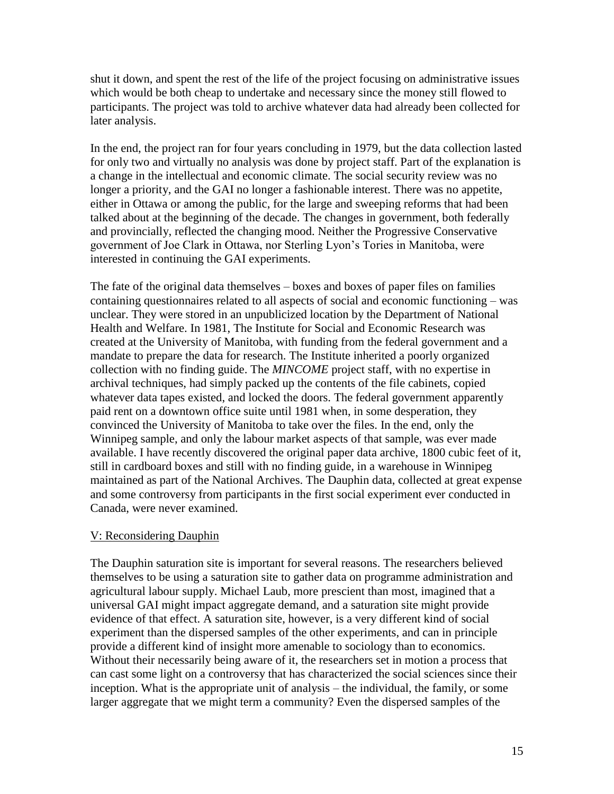shut it down, and spent the rest of the life of the project focusing on administrative issues which would be both cheap to undertake and necessary since the money still flowed to participants. The project was told to archive whatever data had already been collected for later analysis.

In the end, the project ran for four years concluding in 1979, but the data collection lasted for only two and virtually no analysis was done by project staff. Part of the explanation is a change in the intellectual and economic climate. The social security review was no longer a priority, and the GAI no longer a fashionable interest. There was no appetite, either in Ottawa or among the public, for the large and sweeping reforms that had been talked about at the beginning of the decade. The changes in government, both federally and provincially, reflected the changing mood. Neither the Progressive Conservative government of Joe Clark in Ottawa, nor Sterling Lyon"s Tories in Manitoba, were interested in continuing the GAI experiments.

The fate of the original data themselves – boxes and boxes of paper files on families containing questionnaires related to all aspects of social and economic functioning – was unclear. They were stored in an unpublicized location by the Department of National Health and Welfare. In 1981, The Institute for Social and Economic Research was created at the University of Manitoba, with funding from the federal government and a mandate to prepare the data for research. The Institute inherited a poorly organized collection with no finding guide. The *MINCOME* project staff, with no expertise in archival techniques, had simply packed up the contents of the file cabinets, copied whatever data tapes existed, and locked the doors. The federal government apparently paid rent on a downtown office suite until 1981 when, in some desperation, they convinced the University of Manitoba to take over the files. In the end, only the Winnipeg sample, and only the labour market aspects of that sample, was ever made available. I have recently discovered the original paper data archive, 1800 cubic feet of it, still in cardboard boxes and still with no finding guide, in a warehouse in Winnipeg maintained as part of the National Archives. The Dauphin data, collected at great expense and some controversy from participants in the first social experiment ever conducted in Canada, were never examined.

## V: Reconsidering Dauphin

The Dauphin saturation site is important for several reasons. The researchers believed themselves to be using a saturation site to gather data on programme administration and agricultural labour supply. Michael Laub, more prescient than most, imagined that a universal GAI might impact aggregate demand, and a saturation site might provide evidence of that effect. A saturation site, however, is a very different kind of social experiment than the dispersed samples of the other experiments, and can in principle provide a different kind of insight more amenable to sociology than to economics. Without their necessarily being aware of it, the researchers set in motion a process that can cast some light on a controversy that has characterized the social sciences since their inception. What is the appropriate unit of analysis – the individual, the family, or some larger aggregate that we might term a community? Even the dispersed samples of the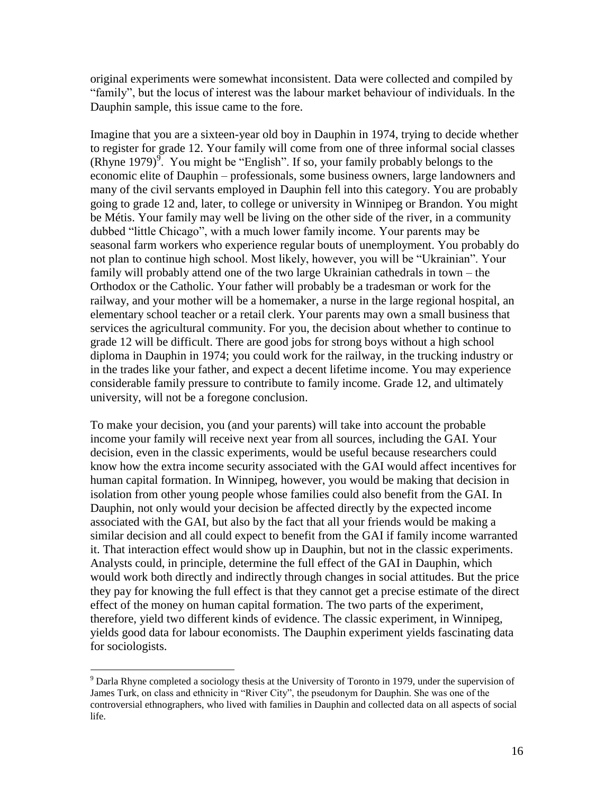original experiments were somewhat inconsistent. Data were collected and compiled by "family", but the locus of interest was the labour market behaviour of individuals. In the Dauphin sample, this issue came to the fore.

Imagine that you are a sixteen-year old boy in Dauphin in 1974, trying to decide whether to register for grade 12. Your family will come from one of three informal social classes (Rhyne 1979) $\frac{9}{2}$ . You might be "English". If so, your family probably belongs to the economic elite of Dauphin – professionals, some business owners, large landowners and many of the civil servants employed in Dauphin fell into this category. You are probably going to grade 12 and, later, to college or university in Winnipeg or Brandon. You might be Métis. Your family may well be living on the other side of the river, in a community dubbed "little Chicago", with a much lower family income. Your parents may be seasonal farm workers who experience regular bouts of unemployment. You probably do not plan to continue high school. Most likely, however, you will be "Ukrainian". Your family will probably attend one of the two large Ukrainian cathedrals in town – the Orthodox or the Catholic. Your father will probably be a tradesman or work for the railway, and your mother will be a homemaker, a nurse in the large regional hospital, an elementary school teacher or a retail clerk. Your parents may own a small business that services the agricultural community. For you, the decision about whether to continue to grade 12 will be difficult. There are good jobs for strong boys without a high school diploma in Dauphin in 1974; you could work for the railway, in the trucking industry or in the trades like your father, and expect a decent lifetime income. You may experience considerable family pressure to contribute to family income. Grade 12, and ultimately university, will not be a foregone conclusion.

To make your decision, you (and your parents) will take into account the probable income your family will receive next year from all sources, including the GAI. Your decision, even in the classic experiments, would be useful because researchers could know how the extra income security associated with the GAI would affect incentives for human capital formation. In Winnipeg, however, you would be making that decision in isolation from other young people whose families could also benefit from the GAI. In Dauphin, not only would your decision be affected directly by the expected income associated with the GAI, but also by the fact that all your friends would be making a similar decision and all could expect to benefit from the GAI if family income warranted it. That interaction effect would show up in Dauphin, but not in the classic experiments. Analysts could, in principle, determine the full effect of the GAI in Dauphin, which would work both directly and indirectly through changes in social attitudes. But the price they pay for knowing the full effect is that they cannot get a precise estimate of the direct effect of the money on human capital formation. The two parts of the experiment, therefore, yield two different kinds of evidence. The classic experiment, in Winnipeg, yields good data for labour economists. The Dauphin experiment yields fascinating data for sociologists.

 $9$  Darla Rhyne completed a sociology thesis at the University of Toronto in 1979, under the supervision of James Turk, on class and ethnicity in "River City", the pseudonym for Dauphin. She was one of the controversial ethnographers, who lived with families in Dauphin and collected data on all aspects of social life.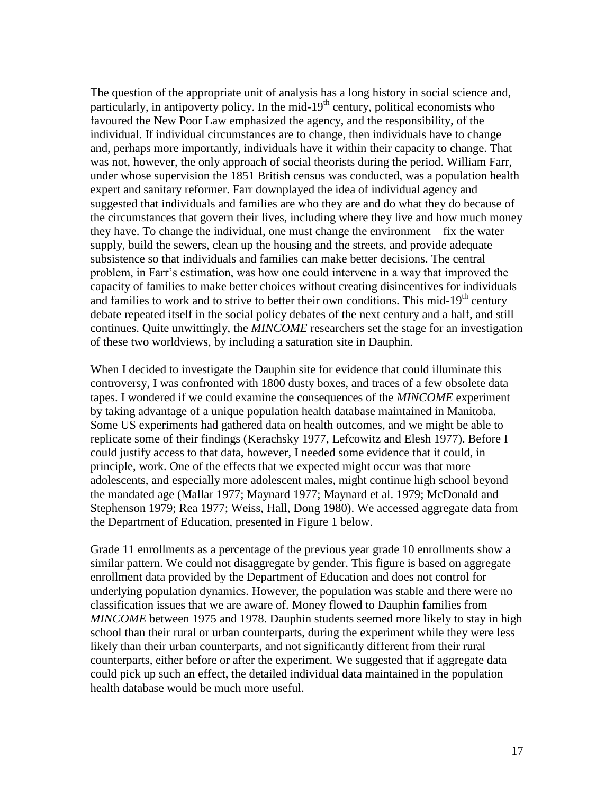The question of the appropriate unit of analysis has a long history in social science and, particularly, in antipoverty policy. In the mid- $19<sup>th</sup>$  century, political economists who favoured the New Poor Law emphasized the agency, and the responsibility, of the individual. If individual circumstances are to change, then individuals have to change and, perhaps more importantly, individuals have it within their capacity to change. That was not, however, the only approach of social theorists during the period. William Farr, under whose supervision the 1851 British census was conducted, was a population health expert and sanitary reformer. Farr downplayed the idea of individual agency and suggested that individuals and families are who they are and do what they do because of the circumstances that govern their lives, including where they live and how much money they have. To change the individual, one must change the environment – fix the water supply, build the sewers, clean up the housing and the streets, and provide adequate subsistence so that individuals and families can make better decisions. The central problem, in Farr"s estimation, was how one could intervene in a way that improved the capacity of families to make better choices without creating disincentives for individuals and families to work and to strive to better their own conditions. This mid-19<sup>th</sup> century debate repeated itself in the social policy debates of the next century and a half, and still continues. Quite unwittingly, the *MINCOME* researchers set the stage for an investigation of these two worldviews, by including a saturation site in Dauphin.

When I decided to investigate the Dauphin site for evidence that could illuminate this controversy, I was confronted with 1800 dusty boxes, and traces of a few obsolete data tapes. I wondered if we could examine the consequences of the *MINCOME* experiment by taking advantage of a unique population health database maintained in Manitoba. Some US experiments had gathered data on health outcomes, and we might be able to replicate some of their findings (Kerachsky 1977, Lefcowitz and Elesh 1977). Before I could justify access to that data, however, I needed some evidence that it could, in principle, work. One of the effects that we expected might occur was that more adolescents, and especially more adolescent males, might continue high school beyond the mandated age (Mallar 1977; Maynard 1977; Maynard et al. 1979; McDonald and Stephenson 1979; Rea 1977; Weiss, Hall, Dong 1980). We accessed aggregate data from the Department of Education, presented in Figure 1 below.

Grade 11 enrollments as a percentage of the previous year grade 10 enrollments show a similar pattern. We could not disaggregate by gender. This figure is based on aggregate enrollment data provided by the Department of Education and does not control for underlying population dynamics. However, the population was stable and there were no classification issues that we are aware of. Money flowed to Dauphin families from *MINCOME* between 1975 and 1978. Dauphin students seemed more likely to stay in high school than their rural or urban counterparts, during the experiment while they were less likely than their urban counterparts, and not significantly different from their rural counterparts, either before or after the experiment. We suggested that if aggregate data could pick up such an effect, the detailed individual data maintained in the population health database would be much more useful.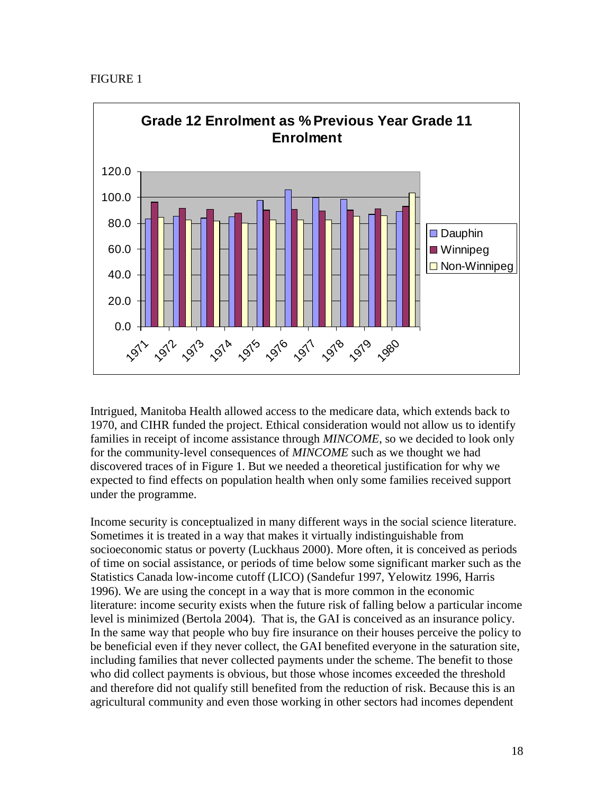FIGURE 1



Intrigued, Manitoba Health allowed access to the medicare data, which extends back to 1970, and CIHR funded the project. Ethical consideration would not allow us to identify families in receipt of income assistance through *MINCOME*, so we decided to look only for the community-level consequences of *MINCOME* such as we thought we had discovered traces of in Figure 1. But we needed a theoretical justification for why we expected to find effects on population health when only some families received support under the programme.

Income security is conceptualized in many different ways in the social science literature. Sometimes it is treated in a way that makes it virtually indistinguishable from socioeconomic status or poverty (Luckhaus 2000). More often, it is conceived as periods of time on social assistance, or periods of time below some significant marker such as the Statistics Canada low-income cutoff (LICO) (Sandefur 1997, Yelowitz 1996, Harris 1996). We are using the concept in a way that is more common in the economic literature: income security exists when the future risk of falling below a particular income level is minimized (Bertola 2004). That is, the GAI is conceived as an insurance policy. In the same way that people who buy fire insurance on their houses perceive the policy to be beneficial even if they never collect, the GAI benefited everyone in the saturation site, including families that never collected payments under the scheme. The benefit to those who did collect payments is obvious, but those whose incomes exceeded the threshold and therefore did not qualify still benefited from the reduction of risk. Because this is an agricultural community and even those working in other sectors had incomes dependent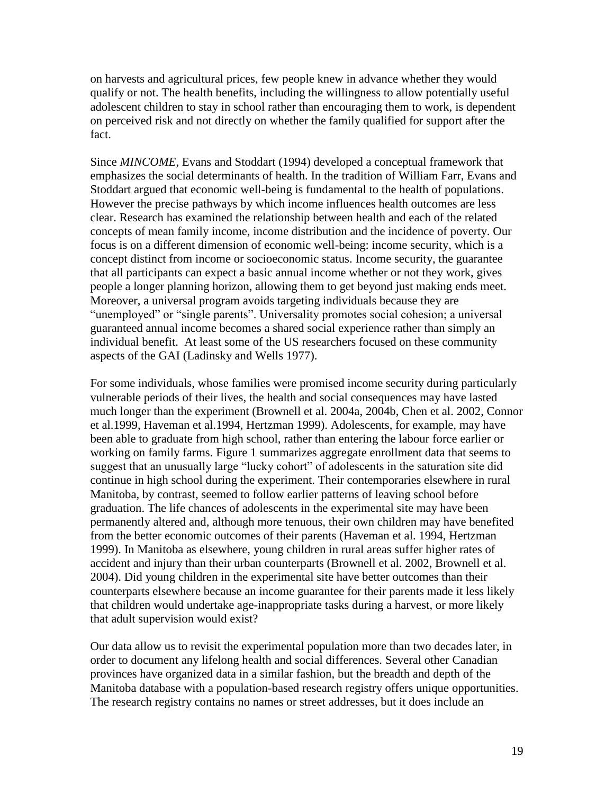on harvests and agricultural prices, few people knew in advance whether they would qualify or not. The health benefits, including the willingness to allow potentially useful adolescent children to stay in school rather than encouraging them to work, is dependent on perceived risk and not directly on whether the family qualified for support after the fact.

Since *MINCOME*, Evans and Stoddart (1994) developed a conceptual framework that emphasizes the social determinants of health. In the tradition of William Farr, Evans and Stoddart argued that economic well-being is fundamental to the health of populations. However the precise pathways by which income influences health outcomes are less clear. Research has examined the relationship between health and each of the related concepts of mean family income, income distribution and the incidence of poverty. Our focus is on a different dimension of economic well-being: income security, which is a concept distinct from income or socioeconomic status. Income security, the guarantee that all participants can expect a basic annual income whether or not they work, gives people a longer planning horizon, allowing them to get beyond just making ends meet. Moreover, a universal program avoids targeting individuals because they are "unemployed" or "single parents". Universality promotes social cohesion; a universal guaranteed annual income becomes a shared social experience rather than simply an individual benefit. At least some of the US researchers focused on these community aspects of the GAI (Ladinsky and Wells 1977).

For some individuals, whose families were promised income security during particularly vulnerable periods of their lives, the health and social consequences may have lasted much longer than the experiment (Brownell et al. 2004a, 2004b, Chen et al. 2002, Connor et al.1999, Haveman et al.1994, Hertzman 1999). Adolescents, for example, may have been able to graduate from high school, rather than entering the labour force earlier or working on family farms. Figure 1 summarizes aggregate enrollment data that seems to suggest that an unusually large "lucky cohort" of adolescents in the saturation site did continue in high school during the experiment. Their contemporaries elsewhere in rural Manitoba, by contrast, seemed to follow earlier patterns of leaving school before graduation. The life chances of adolescents in the experimental site may have been permanently altered and, although more tenuous, their own children may have benefited from the better economic outcomes of their parents (Haveman et al. 1994, Hertzman 1999). In Manitoba as elsewhere, young children in rural areas suffer higher rates of accident and injury than their urban counterparts (Brownell et al. 2002, Brownell et al. 2004). Did young children in the experimental site have better outcomes than their counterparts elsewhere because an income guarantee for their parents made it less likely that children would undertake age-inappropriate tasks during a harvest, or more likely that adult supervision would exist?

Our data allow us to revisit the experimental population more than two decades later, in order to document any lifelong health and social differences. Several other Canadian provinces have organized data in a similar fashion, but the breadth and depth of the Manitoba database with a population-based research registry offers unique opportunities. The research registry contains no names or street addresses, but it does include an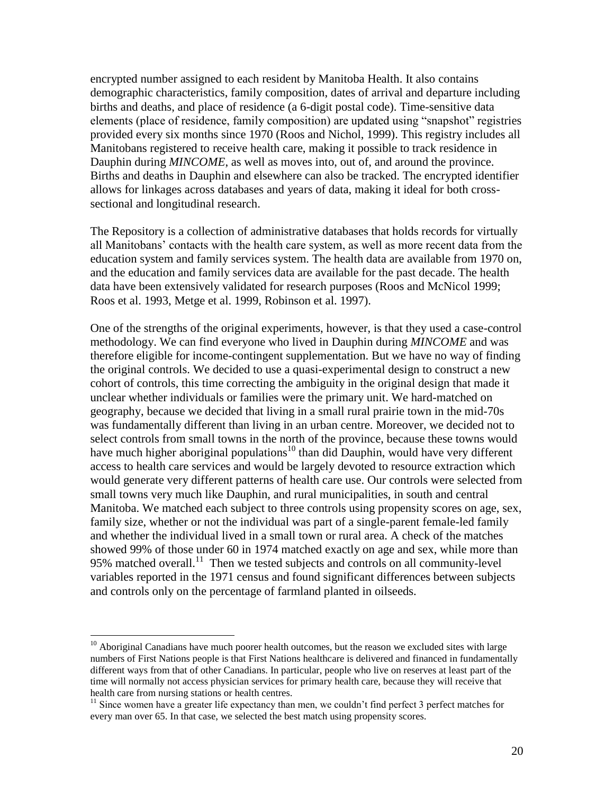encrypted number assigned to each resident by Manitoba Health. It also contains demographic characteristics, family composition, dates of arrival and departure including births and deaths, and place of residence (a 6-digit postal code). Time-sensitive data elements (place of residence, family composition) are updated using "snapshot" registries provided every six months since 1970 (Roos and Nichol, 1999). This registry includes all Manitobans registered to receive health care, making it possible to track residence in Dauphin during *MINCOME*, as well as moves into, out of, and around the province. Births and deaths in Dauphin and elsewhere can also be tracked. The encrypted identifier allows for linkages across databases and years of data, making it ideal for both crosssectional and longitudinal research.

The Repository is a collection of administrative databases that holds records for virtually all Manitobans" contacts with the health care system, as well as more recent data from the education system and family services system. The health data are available from 1970 on, and the education and family services data are available for the past decade. The health data have been extensively validated for research purposes (Roos and McNicol 1999; Roos et al. 1993, Metge et al. 1999, Robinson et al. 1997).

One of the strengths of the original experiments, however, is that they used a case-control methodology. We can find everyone who lived in Dauphin during *MINCOME* and was therefore eligible for income-contingent supplementation. But we have no way of finding the original controls. We decided to use a quasi-experimental design to construct a new cohort of controls, this time correcting the ambiguity in the original design that made it unclear whether individuals or families were the primary unit. We hard-matched on geography, because we decided that living in a small rural prairie town in the mid-70s was fundamentally different than living in an urban centre. Moreover, we decided not to select controls from small towns in the north of the province, because these towns would have much higher aboriginal populations<sup>10</sup> than did Dauphin, would have very different access to health care services and would be largely devoted to resource extraction which would generate very different patterns of health care use. Our controls were selected from small towns very much like Dauphin, and rural municipalities, in south and central Manitoba. We matched each subject to three controls using propensity scores on age, sex, family size, whether or not the individual was part of a single-parent female-led family and whether the individual lived in a small town or rural area. A check of the matches showed 99% of those under 60 in 1974 matched exactly on age and sex, while more than 95% matched overall.<sup>11</sup> Then we tested subjects and controls on all community-level variables reported in the 1971 census and found significant differences between subjects and controls only on the percentage of farmland planted in oilseeds.

 $10$  Aboriginal Canadians have much poorer health outcomes, but the reason we excluded sites with large numbers of First Nations people is that First Nations healthcare is delivered and financed in fundamentally different ways from that of other Canadians. In particular, people who live on reserves at least part of the time will normally not access physician services for primary health care, because they will receive that health care from nursing stations or health centres.

<sup>&</sup>lt;sup>11</sup> Since women have a greater life expectancy than men, we couldn't find perfect 3 perfect matches for every man over 65. In that case, we selected the best match using propensity scores.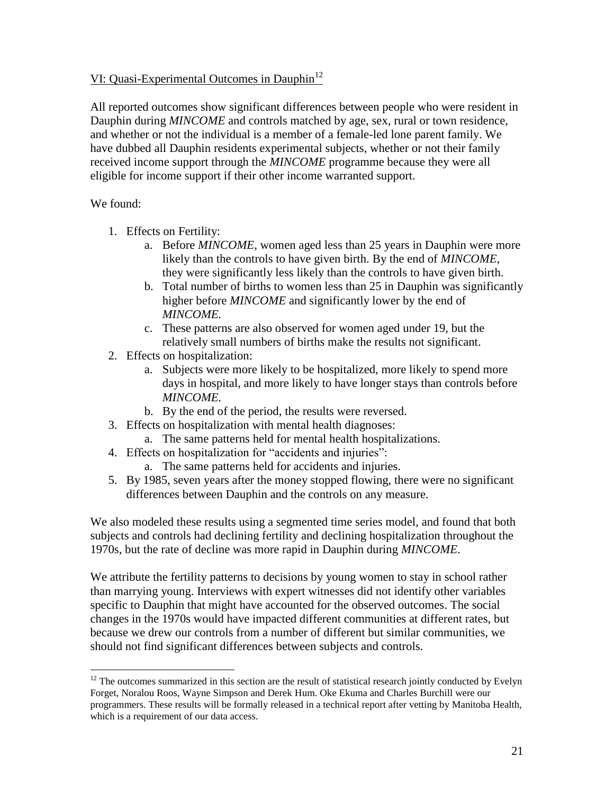## VI: Quasi-Experimental Outcomes in Dauphin<sup>12</sup>

All reported outcomes show significant differences between people who were resident in Dauphin during *MINCOME* and controls matched by age, sex, rural or town residence, and whether or not the individual is a member of a female-led lone parent family. We have dubbed all Dauphin residents experimental subjects, whether or not their family received income support through the *MINCOME* programme because they were all eligible for income support if their other income warranted support.

#### We found:

 $\overline{a}$ 

- 1. Effects on Fertility:
	- a. Before *MINCOME*, women aged less than 25 years in Dauphin were more likely than the controls to have given birth. By the end of *MINCOME*, they were significantly less likely than the controls to have given birth.
	- b. Total number of births to women less than 25 in Dauphin was significantly higher before *MINCOME* and significantly lower by the end of *MINCOME.*
	- c. These patterns are also observed for women aged under 19, but the relatively small numbers of births make the results not significant.
- 2. Effects on hospitalization:
	- a. Subjects were more likely to be hospitalized, more likely to spend more days in hospital, and more likely to have longer stays than controls before *MINCOME.*
	- b. By the end of the period, the results were reversed.
- 3. Effects on hospitalization with mental health diagnoses:
	- a. The same patterns held for mental health hospitalizations.
- 4. Effects on hospitalization for "accidents and injuries":
	- a. The same patterns held for accidents and injuries.
- 5. By 1985, seven years after the money stopped flowing, there were no significant differences between Dauphin and the controls on any measure.

We also modeled these results using a segmented time series model, and found that both subjects and controls had declining fertility and declining hospitalization throughout the 1970s, but the rate of decline was more rapid in Dauphin during *MINCOME*.

We attribute the fertility patterns to decisions by young women to stay in school rather than marrying young. Interviews with expert witnesses did not identify other variables specific to Dauphin that might have accounted for the observed outcomes. The social changes in the 1970s would have impacted different communities at different rates, but because we drew our controls from a number of different but similar communities, we should not find significant differences between subjects and controls.

 $12$  The outcomes summarized in this section are the result of statistical research jointly conducted by Evelyn Forget, Noralou Roos, Wayne Simpson and Derek Hum. Oke Ekuma and Charles Burchill were our programmers. These results will be formally released in a technical report after vetting by Manitoba Health, which is a requirement of our data access.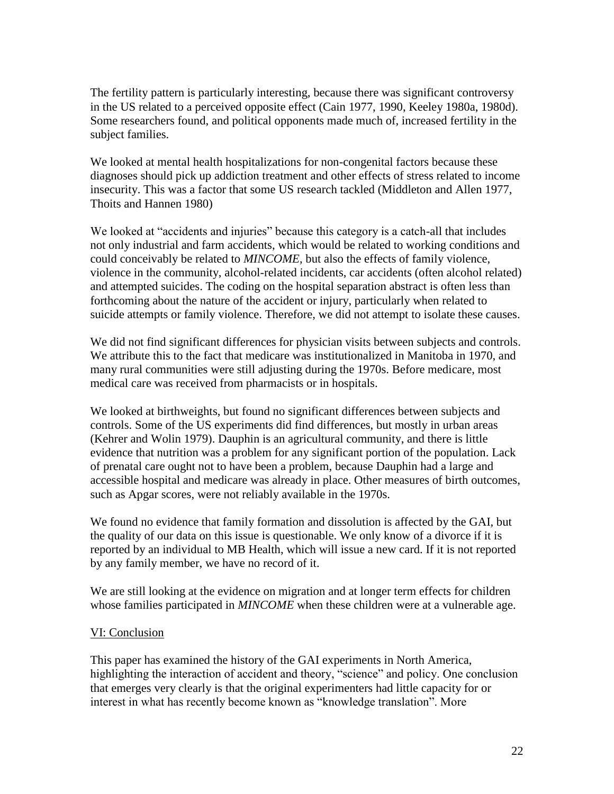The fertility pattern is particularly interesting, because there was significant controversy in the US related to a perceived opposite effect (Cain 1977, 1990, Keeley 1980a, 1980d). Some researchers found, and political opponents made much of, increased fertility in the subject families.

We looked at mental health hospitalizations for non-congenital factors because these diagnoses should pick up addiction treatment and other effects of stress related to income insecurity. This was a factor that some US research tackled (Middleton and Allen 1977, Thoits and Hannen 1980)

We looked at "accidents and injuries" because this category is a catch-all that includes not only industrial and farm accidents, which would be related to working conditions and could conceivably be related to *MINCOME*, but also the effects of family violence, violence in the community, alcohol-related incidents, car accidents (often alcohol related) and attempted suicides. The coding on the hospital separation abstract is often less than forthcoming about the nature of the accident or injury, particularly when related to suicide attempts or family violence. Therefore, we did not attempt to isolate these causes.

We did not find significant differences for physician visits between subjects and controls. We attribute this to the fact that medicare was institutionalized in Manitoba in 1970, and many rural communities were still adjusting during the 1970s. Before medicare, most medical care was received from pharmacists or in hospitals.

We looked at birthweights, but found no significant differences between subjects and controls. Some of the US experiments did find differences, but mostly in urban areas (Kehrer and Wolin 1979). Dauphin is an agricultural community, and there is little evidence that nutrition was a problem for any significant portion of the population. Lack of prenatal care ought not to have been a problem, because Dauphin had a large and accessible hospital and medicare was already in place. Other measures of birth outcomes, such as Apgar scores, were not reliably available in the 1970s.

We found no evidence that family formation and dissolution is affected by the GAI, but the quality of our data on this issue is questionable. We only know of a divorce if it is reported by an individual to MB Health, which will issue a new card. If it is not reported by any family member, we have no record of it.

We are still looking at the evidence on migration and at longer term effects for children whose families participated in *MINCOME* when these children were at a vulnerable age.

## VI: Conclusion

This paper has examined the history of the GAI experiments in North America, highlighting the interaction of accident and theory, "science" and policy. One conclusion that emerges very clearly is that the original experimenters had little capacity for or interest in what has recently become known as "knowledge translation". More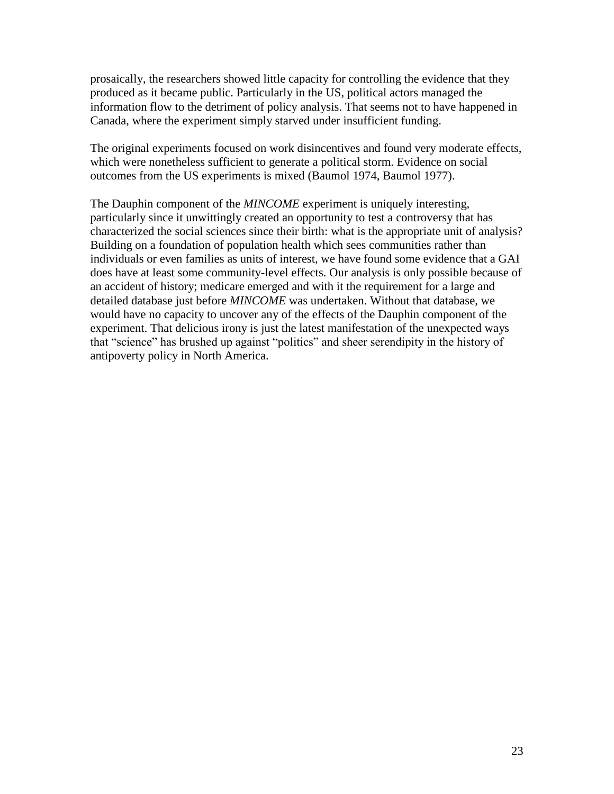prosaically, the researchers showed little capacity for controlling the evidence that they produced as it became public. Particularly in the US, political actors managed the information flow to the detriment of policy analysis. That seems not to have happened in Canada, where the experiment simply starved under insufficient funding.

The original experiments focused on work disincentives and found very moderate effects, which were nonetheless sufficient to generate a political storm. Evidence on social outcomes from the US experiments is mixed (Baumol 1974, Baumol 1977).

The Dauphin component of the *MINCOME* experiment is uniquely interesting, particularly since it unwittingly created an opportunity to test a controversy that has characterized the social sciences since their birth: what is the appropriate unit of analysis? Building on a foundation of population health which sees communities rather than individuals or even families as units of interest, we have found some evidence that a GAI does have at least some community-level effects. Our analysis is only possible because of an accident of history; medicare emerged and with it the requirement for a large and detailed database just before *MINCOME* was undertaken. Without that database, we would have no capacity to uncover any of the effects of the Dauphin component of the experiment. That delicious irony is just the latest manifestation of the unexpected ways that "science" has brushed up against "politics" and sheer serendipity in the history of antipoverty policy in North America.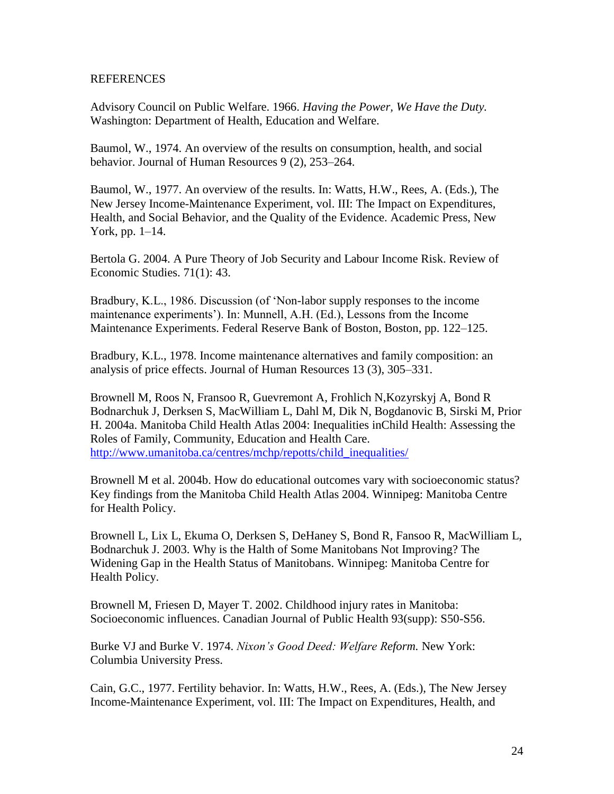#### **REFERENCES**

Advisory Council on Public Welfare. 1966. *Having the Power, We Have the Duty.* Washington: Department of Health, Education and Welfare.

Baumol, W., 1974. An overview of the results on consumption, health, and social behavior. Journal of Human Resources 9 (2), 253–264.

Baumol, W., 1977. An overview of the results. In: Watts, H.W., Rees, A. (Eds.), The New Jersey Income-Maintenance Experiment, vol. III: The Impact on Expenditures, Health, and Social Behavior, and the Quality of the Evidence. Academic Press, New York, pp. 1–14.

Bertola G. 2004. A Pure Theory of Job Security and Labour Income Risk. Review of Economic Studies. 71(1): 43.

Bradbury, K.L., 1986. Discussion (of "Non-labor supply responses to the income maintenance experiments"). In: Munnell, A.H. (Ed.), Lessons from the Income Maintenance Experiments. Federal Reserve Bank of Boston, Boston, pp. 122–125.

Bradbury, K.L., 1978. Income maintenance alternatives and family composition: an analysis of price effects. Journal of Human Resources 13 (3), 305–331.

Brownell M, Roos N, Fransoo R, Guevremont A, Frohlich N,Kozyrskyj A, Bond R Bodnarchuk J, Derksen S, MacWilliam L, Dahl M, Dik N, Bogdanovic B, Sirski M, Prior H. 2004a. Manitoba Child Health Atlas 2004: Inequalities inChild Health: Assessing the Roles of Family, Community, Education and Health Care. [http://www.umanitoba.ca/centres/mchp/repotts/child\\_inequalities/](http://www.umanitoba.ca/centres/mchp/repotts/child_inequalities/)

Brownell M et al. 2004b. How do educational outcomes vary with socioeconomic status? Key findings from the Manitoba Child Health Atlas 2004. Winnipeg: Manitoba Centre for Health Policy.

Brownell L, Lix L, Ekuma O, Derksen S, DeHaney S, Bond R, Fansoo R, MacWilliam L, Bodnarchuk J. 2003. Why is the Halth of Some Manitobans Not Improving? The Widening Gap in the Health Status of Manitobans. Winnipeg: Manitoba Centre for Health Policy.

Brownell M, Friesen D, Mayer T. 2002. Childhood injury rates in Manitoba: Socioeconomic influences. Canadian Journal of Public Health 93(supp): S50-S56.

Burke VJ and Burke V. 1974. *Nixon's Good Deed: Welfare Reform.* New York: Columbia University Press.

Cain, G.C., 1977. Fertility behavior. In: Watts, H.W., Rees, A. (Eds.), The New Jersey Income-Maintenance Experiment, vol. III: The Impact on Expenditures, Health, and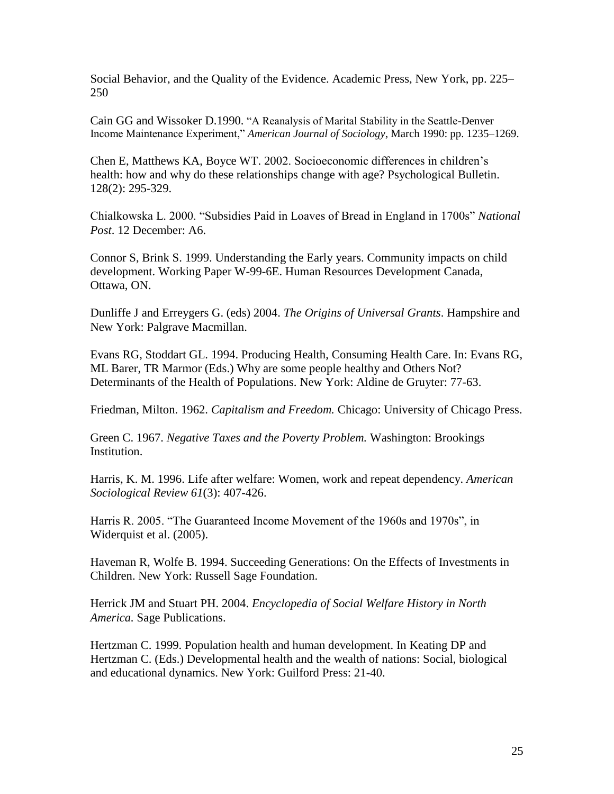Social Behavior, and the Quality of the Evidence. Academic Press, New York, pp. 225– 250

Cain GG and Wissoker D.1990. "A Reanalysis of Marital Stability in the Seattle-Denver Income Maintenance Experiment," *American Journal of Sociology*, March 1990: pp. 1235–1269.

Chen E, Matthews KA, Boyce WT. 2002. Socioeconomic differences in children"s health: how and why do these relationships change with age? Psychological Bulletin. 128(2): 295-329.

Chialkowska L. 2000. "Subsidies Paid in Loaves of Bread in England in 1700s" *National Post*. 12 December: A6.

Connor S, Brink S. 1999. Understanding the Early years. Community impacts on child development. Working Paper W-99-6E. Human Resources Development Canada, Ottawa, ON.

Dunliffe J and Erreygers G. (eds) 2004. *The Origins of Universal Grants*. Hampshire and New York: Palgrave Macmillan.

Evans RG, Stoddart GL. 1994. Producing Health, Consuming Health Care. In: Evans RG, ML Barer, TR Marmor (Eds.) Why are some people healthy and Others Not? Determinants of the Health of Populations. New York: Aldine de Gruyter: 77-63.

Friedman, Milton. 1962. *Capitalism and Freedom.* Chicago: University of Chicago Press.

Green C. 1967. *Negative Taxes and the Poverty Problem.* Washington: Brookings Institution.

Harris, K. M. 1996. Life after welfare: Women, work and repeat dependency. *American Sociological Review 61*(3): 407-426.

Harris R. 2005. "The Guaranteed Income Movement of the 1960s and 1970s", in Widerquist et al. (2005).

Haveman R, Wolfe B. 1994. Succeeding Generations: On the Effects of Investments in Children. New York: Russell Sage Foundation.

Herrick JM and Stuart PH. 2004. *Encyclopedia of Social Welfare History in North America.* Sage Publications.

Hertzman C. 1999. Population health and human development. In Keating DP and Hertzman C. (Eds.) Developmental health and the wealth of nations: Social, biological and educational dynamics. New York: Guilford Press: 21-40.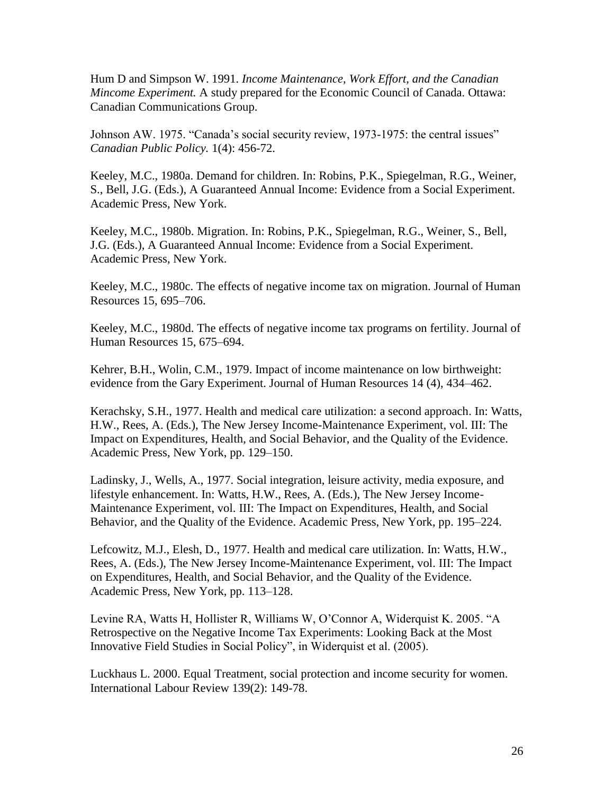Hum D and Simpson W. 1991. *Income Maintenance, Work Effort, and the Canadian Mincome Experiment.* A study prepared for the Economic Council of Canada. Ottawa: Canadian Communications Group.

Johnson AW. 1975. "Canada"s social security review, 1973-1975: the central issues" *Canadian Public Policy.* 1(4): 456-72.

Keeley, M.C., 1980a. Demand for children. In: Robins, P.K., Spiegelman, R.G., Weiner, S., Bell, J.G. (Eds.), A Guaranteed Annual Income: Evidence from a Social Experiment. Academic Press, New York.

Keeley, M.C., 1980b. Migration. In: Robins, P.K., Spiegelman, R.G., Weiner, S., Bell, J.G. (Eds.), A Guaranteed Annual Income: Evidence from a Social Experiment. Academic Press, New York.

Keeley, M.C., 1980c. The effects of negative income tax on migration. Journal of Human Resources 15, 695–706.

Keeley, M.C., 1980d. The effects of negative income tax programs on fertility. Journal of Human Resources 15, 675–694.

Kehrer, B.H., Wolin, C.M., 1979. Impact of income maintenance on low birthweight: evidence from the Gary Experiment. Journal of Human Resources 14 (4), 434–462.

Kerachsky, S.H., 1977. Health and medical care utilization: a second approach. In: Watts, H.W., Rees, A. (Eds.), The New Jersey Income-Maintenance Experiment, vol. III: The Impact on Expenditures, Health, and Social Behavior, and the Quality of the Evidence. Academic Press, New York, pp. 129–150.

Ladinsky, J., Wells, A., 1977. Social integration, leisure activity, media exposure, and lifestyle enhancement. In: Watts, H.W., Rees, A. (Eds.), The New Jersey Income-Maintenance Experiment, vol. III: The Impact on Expenditures, Health, and Social Behavior, and the Quality of the Evidence. Academic Press, New York, pp. 195–224.

Lefcowitz, M.J., Elesh, D., 1977. Health and medical care utilization. In: Watts, H.W., Rees, A. (Eds.), The New Jersey Income-Maintenance Experiment, vol. III: The Impact on Expenditures, Health, and Social Behavior, and the Quality of the Evidence. Academic Press, New York, pp. 113–128.

Levine RA, Watts H, Hollister R, Williams W, O"Connor A, Widerquist K. 2005. "A Retrospective on the Negative Income Tax Experiments: Looking Back at the Most Innovative Field Studies in Social Policy", in Widerquist et al. (2005).

Luckhaus L. 2000. Equal Treatment, social protection and income security for women. International Labour Review 139(2): 149-78.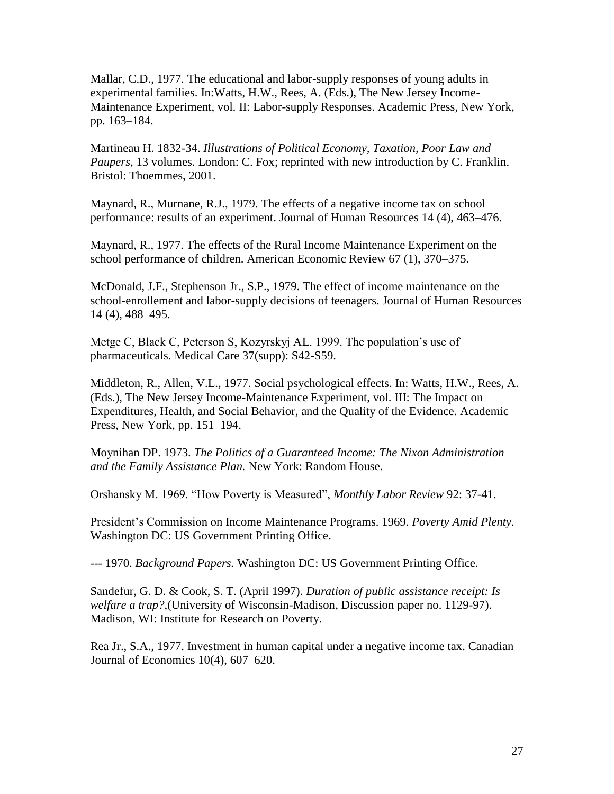Mallar, C.D., 1977. The educational and labor-supply responses of young adults in experimental families. In:Watts, H.W., Rees, A. (Eds.), The New Jersey Income-Maintenance Experiment, vol. II: Labor-supply Responses. Academic Press, New York, pp. 163–184.

Martineau H. 1832-34. *Illustrations of Political Economy, Taxation, Poor Law and Paupers*, 13 volumes. London: C. Fox; reprinted with new introduction by C. Franklin. Bristol: Thoemmes, 2001.

Maynard, R., Murnane, R.J., 1979. The effects of a negative income tax on school performance: results of an experiment. Journal of Human Resources 14 (4), 463–476.

Maynard, R., 1977. The effects of the Rural Income Maintenance Experiment on the school performance of children. American Economic Review 67 (1), 370–375.

McDonald, J.F., Stephenson Jr., S.P., 1979. The effect of income maintenance on the school-enrollement and labor-supply decisions of teenagers. Journal of Human Resources 14 (4), 488–495.

Metge C, Black C, Peterson S, Kozyrskyj AL. 1999. The population's use of pharmaceuticals. Medical Care 37(supp): S42-S59.

Middleton, R., Allen, V.L., 1977. Social psychological effects. In: Watts, H.W., Rees, A. (Eds.), The New Jersey Income-Maintenance Experiment, vol. III: The Impact on Expenditures, Health, and Social Behavior, and the Quality of the Evidence. Academic Press, New York, pp. 151–194.

Moynihan DP. 1973. *The Politics of a Guaranteed Income: The Nixon Administration and the Family Assistance Plan.* New York: Random House.

Orshansky M. 1969. "How Poverty is Measured", *Monthly Labor Review* 92: 37-41.

President"s Commission on Income Maintenance Programs. 1969. *Poverty Amid Plenty.* Washington DC: US Government Printing Office.

--- 1970. *Background Papers.* Washington DC: US Government Printing Office.

Sandefur, G. D. & Cook, S. T. (April 1997). *Duration of public assistance receipt: Is welfare a trap?*,(University of Wisconsin-Madison, Discussion paper no. 1129-97). Madison, WI: Institute for Research on Poverty.

Rea Jr., S.A., 1977. Investment in human capital under a negative income tax. Canadian Journal of Economics 10(4), 607–620.